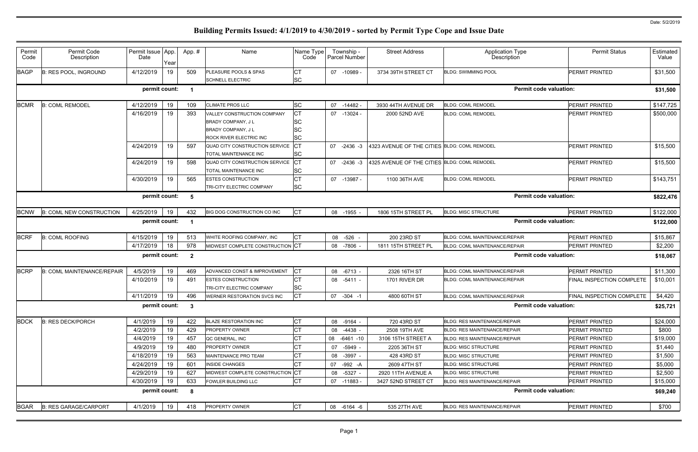| Permit<br>Code | Permit Code<br>Description        | Permit Issue App.<br>Date | Year | App.#                    | Name                                                    | Name Type<br>Code | Township -<br>Parcel Number | <b>Street Address</b>                        | <b>Application Type</b><br><b>Description</b> | <b>Permit Status</b>             | Estimated<br>Value |
|----------------|-----------------------------------|---------------------------|------|--------------------------|---------------------------------------------------------|-------------------|-----------------------------|----------------------------------------------|-----------------------------------------------|----------------------------------|--------------------|
| <b>BAGP</b>    | <b>B: RES POOL, INGROUND</b>      | 4/12/2019                 | 19   | 509                      | PLEASURE POOLS & SPAS<br><b>SCHNELL ELECTRIC</b>        | СT<br><b>SC</b>   | 07 -10989 -                 | 3734 39TH STREET CT                          | <b>BLDG: SWIMMING POOL</b>                    | <b>PERMIT PRINTED</b>            | \$31,500           |
|                |                                   | permit count:             |      | - 1                      |                                                         |                   |                             |                                              | <b>Permit code valuation:</b>                 |                                  | \$31,500           |
| <b>BCMR</b>    | <b>B: COML REMODEL</b>            | 4/12/2019                 | 19   | 109                      | <b>CLIMATE PROS LLC</b>                                 | <b>SC</b>         | $07 - 14482$                | 3930 44TH AVENUE DR                          | <b>BLDG: COML REMODEL</b>                     | <b>PERMIT PRINTED</b>            | \$147,725          |
|                |                                   | 4/16/2019                 | 19   | 393                      | VALLEY CONSTRUCTION COMPANY                             | СT                | $07 - 13024$                | 2000 52ND AVE                                | <b>BLDG: COML REMODEL</b>                     | PERMIT PRINTED                   | \$500,000          |
|                |                                   |                           |      |                          | <b>BRADY COMPANY, JL</b>                                | SС                |                             |                                              |                                               |                                  |                    |
|                |                                   |                           |      |                          | BRADY COMPANY, J L                                      | SC                |                             |                                              |                                               |                                  |                    |
|                |                                   |                           |      |                          | ROCK RIVER ELECTRIC INC                                 | <b>SC</b>         |                             |                                              |                                               |                                  |                    |
|                |                                   | 4/24/2019                 | 19   | 597                      | QUAD CITY CONSTRUCTION SERVICE<br>TOTAL MAINTENANCE INC | СT<br>SC          | 07 -2436 -3                 | 4323 AVENUE OF THE CITIES BLDG: COML REMODEL |                                               | <b>PERMIT PRINTED</b>            | \$15,500           |
|                |                                   | 4/24/2019                 | 19   | 598                      | QUAD CITY CONSTRUCTION SERVICE                          |                   | 07 -2436 -3                 | 4325 AVENUE OF THE CITIES BLDG: COML REMODEL |                                               | PERMIT PRINTED                   | \$15,500           |
|                |                                   |                           |      |                          | <b>TOTAL MAINTENANCE INC</b>                            | <b>SC</b>         |                             |                                              |                                               | PERMIT PRINTED                   |                    |
|                |                                   | 4/30/2019                 | 19   | 565                      | <b>ESTES CONSTRUCTION</b><br>TRI-CITY ELECTRIC COMPANY  | <b>SC</b>         | 07 -13987 -                 | 1100 36TH AVE                                | <b>BLDG: COML REMODEL</b>                     |                                  | \$143,751          |
|                |                                   | permit count:             |      |                          |                                                         |                   |                             |                                              | <b>Permit code valuation:</b>                 |                                  |                    |
|                |                                   |                           |      | 5                        |                                                         |                   |                             |                                              |                                               |                                  | \$822,476          |
| <b>BCNW</b>    | <b>B: COML NEW CONSTRUCTION</b>   | 4/25/2019                 | 19   | 432                      | BIG DOG CONSTRUCTION CO INC                             | <b>CT</b>         | 08 -1955 -                  | 1806 15TH STREET PL                          | <b>BLDG: MISC STRUCTURE</b>                   | PERMIT PRINTED                   | \$122,000          |
|                |                                   | permit count:             |      | $\overline{\phantom{0}}$ |                                                         |                   |                             |                                              | <b>Permit code valuation:</b>                 |                                  | \$122,000          |
| <b>BCRF</b>    |                                   |                           |      |                          | WHITE ROOFING COMPANY, INC                              |                   |                             |                                              |                                               | PERMIT PRINTED                   |                    |
|                | <b>B: COML ROOFING</b>            | 4/15/2019                 | 19   | 513                      | MIDWEST COMPLETE CONSTRUCTION CT                        | СT                | 08 -526 -                   | 200 23RD ST                                  | BLDG: COML MAINTENANCE/REPAIR                 |                                  | \$15,867           |
|                |                                   | 4/17/2019                 | 18   | 978                      |                                                         |                   | 08 -7806 -                  | 1811 15TH STREET PL                          | <b>BLDG: COML MAINTENANCE/REPAIR</b>          | PERMIT PRINTED                   | \$2,200            |
|                |                                   | permit count:             |      | $\overline{2}$           |                                                         |                   |                             |                                              | <b>Permit code valuation:</b>                 |                                  | \$18,067           |
| <b>BCRP</b>    | <b>B: COML MAINTENANCE/REPAIR</b> | 4/5/2019                  | 19   | 469                      | ADVANCED CONST & IMPROVEMENT                            | Iст               | 08 -6713 -                  | 2326 16TH ST                                 | <b>BLDG: COML MAINTENANCE/REPAIR</b>          | PERMIT PRINTED                   | \$11,300           |
|                |                                   | 4/10/2019                 | 19   | 491                      | <b>ESTES CONSTRUCTION</b>                               |                   | 08 -5411 -                  | 1701 RIVER DR                                | BLDG: COML MAINTENANCE/REPAIR                 | <b>FINAL INSPECTION COMPLETE</b> | \$10,001           |
|                |                                   |                           |      |                          | <b>TRI-CITY ELECTRIC COMPANY</b>                        | <b>SC</b>         |                             |                                              |                                               |                                  |                    |
|                |                                   | 4/11/2019                 | 19   | 496                      | WERNER RESTORATION SVCS INC                             | СT                | 07 -304 -1                  | 4800 60TH ST                                 | <b>BLDG: COML MAINTENANCE/REPAIR</b>          | FINAL INSPECTION COMPLETE        | \$4,420            |
|                |                                   | permit count:             |      | - 3                      |                                                         |                   |                             |                                              | <b>Permit code valuation:</b>                 |                                  | \$25,721           |
| <b>BDCK</b>    | <b>B: RES DECK/PORCH</b>          | 4/1/2019                  | 19   | 422                      | <b>BLAZE RESTORATION INC</b>                            | СT                | 08 -9164 -                  | 720 43RD ST                                  | <b>BLDG: RES MAINTENANCE/REPAIR</b>           | PERMIT PRINTED                   | \$24,000           |
|                |                                   | 4/2/2019                  | 19   | 429                      | <b>PROPERTY OWNER</b>                                   | СT                | 08 -4438 -                  | 2508 19TH AVE                                | <b>BLDG: RES MAINTENANCE/REPAIR</b>           | PERMIT PRINTED                   | \$800              |
|                |                                   | 4/4/2019                  | 19   | 457                      | QC GENERAL, INC                                         | СT                | 08<br>-6461 -10             | 3106 15TH STREET A                           | <b>BLDG: RES MAINTENANCE/REPAIR</b>           | <b>PERMIT PRINTED</b>            | \$19,000           |
|                |                                   | 4/9/2019                  | 19   | 480                      | <b>PROPERTY OWNER</b>                                   |                   | 07 -5949 -                  | 2205 36TH ST                                 | <b>BLDG: MISC STRUCTURE</b>                   | PERMIT PRINTED                   | \$1,440            |
|                |                                   | 4/18/2019                 | 19   | 563                      | MAINTENANCE PRO TEAM                                    | СT                | 08 -3997 -                  | 428 43RD ST                                  | <b>BLDG: MISC STRUCTURE</b>                   | PERMIT PRINTED                   | \$1,500            |
|                |                                   | 4/24/2019                 | 19   | 601                      | <b>INSIDE CHANGES</b>                                   | СT                | 07 -992 -A                  | 2609 47TH ST                                 | <b>BLDG: MISC STRUCTURE</b>                   | PERMIT PRINTED                   | \$5,000            |
|                |                                   | 4/29/2019                 | 19   | 627                      | MIDWEST COMPLETE CONSTRUCTION CT                        |                   | 08 -5327 -                  | 2920 11TH AVENUE A                           | <b>BLDG: MISC STRUCTURE</b>                   | PERMIT PRINTED                   | \$2,500            |
|                |                                   | 4/30/2019                 | 19   | 633                      | <b>FOWLER BUILDING LLC</b>                              | СT                | 07 -11883 -                 | 3427 52ND STREET CT                          | <b>BLDG: RES MAINTENANCE/REPAIR</b>           | PERMIT PRINTED                   | \$15,000           |
|                |                                   | permit count:             |      | - 8                      |                                                         |                   |                             |                                              | <b>Permit code valuation:</b>                 |                                  | \$69,240           |
| <b>BGAR</b>    | <b>B: RES GARAGE/CARPORT</b>      | 4/1/2019                  | 19   | 418                      | PROPERTY OWNER                                          | <b>CT</b>         | 08 -6164 -6                 | 535 27TH AVE                                 | <b>BLDG: RES MAINTENANCE/REPAIR</b>           | PERMIT PRINTED                   | \$700              |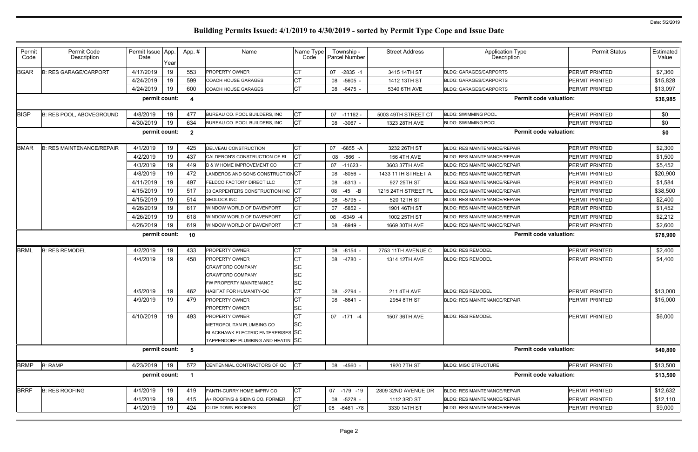| Permit<br>Code | Permit Code<br>Description       | Permit Issue App.<br>Date | Year | App.#                   | Name                                              | Name Type<br>Code | Township -<br><b>Parcel Number</b> | <b>Street Address</b> | <b>Application Type</b><br>Description | <b>Permit Status</b>          | Estimated<br>Value |
|----------------|----------------------------------|---------------------------|------|-------------------------|---------------------------------------------------|-------------------|------------------------------------|-----------------------|----------------------------------------|-------------------------------|--------------------|
| <b>BGAR</b>    | <b>B: RES GARAGE/CARPORT</b>     | 4/17/2019                 | 19   | 553                     | <b>PROPERTY OWNER</b>                             | СT                | 07<br>$-2835 - 1$                  | 3415 14TH ST          | <b>BLDG: GARAGES/CARPORTS</b>          | PERMIT PRINTED                | \$7,360            |
|                |                                  | 4/24/2019                 | 19   | 599                     | <b>COACH HOUSE GARAGES</b>                        | <b>CT</b>         | 08<br>-5605                        | 1412 13TH ST          | <b>BLDG: GARAGES/CARPORTS</b>          | <b>PERMIT PRINTED</b>         | \$15,828           |
|                |                                  | 4/24/2019                 | 19   | 600                     | <b>COACH HOUSE GARAGES</b>                        | <b>CT</b>         | 08 -6475                           | 5340 6TH AVE          | BLDG: GARAGES/CARPORTS                 | PERMIT PRINTED                | \$13,097           |
|                |                                  | permit count:             |      | -4                      |                                                   |                   |                                    |                       | <b>Permit code valuation:</b>          |                               | \$36,985           |
| <b>BIGP</b>    | <b>B: RES POOL, ABOVEGROUND</b>  | 4/8/2019                  | 19   | 477                     | BUREAU CO. POOL BUILDERS, INC                     | СT                | 07<br>-11162 -                     | 5003 49TH STREET CT   | <b>BLDG: SWIMMING POOL</b>             | <b>PERMIT PRINTED</b>         | \$0                |
|                |                                  | 4/30/2019                 | 19   | 634                     | BUREAU CO. POOL BUILDERS, INC                     | CT                | 08 -3067 -                         | 1323 28TH AVE         | <b>BLDG: SWIMMING POOL</b>             | PERMIT PRINTED                | \$0                |
|                |                                  | permit count:             |      | $\overline{\mathbf{2}}$ |                                                   |                   |                                    |                       | <b>Permit code valuation:</b>          |                               | \$0                |
| <b>BMAR</b>    | <b>B: RES MAINTENANCE/REPAIR</b> | 4/1/2019                  | 19   | 425                     | <b>DELVEAU CONSTRUCTION</b>                       | <b>CT</b>         | 07<br>$-6855 - A$                  | 3232 26TH ST          | <b>BLDG: RES MAINTENANCE/REPAIR</b>    | <b>PERMIT PRINTED</b>         | \$2,300            |
|                |                                  | 4/2/2019                  | 19   | 437                     | CALDERON'S CONSTRUCTION OF RI                     |                   | $-866 -$<br>08                     | <b>156 4TH AVE</b>    | <b>BLDG: RES MAINTENANCE/REPAIR</b>    | PERMIT PRINTED                | \$1,500            |
|                |                                  | 4/3/2019                  | 19   | 449                     | <b>B &amp; W HOME IMPROVEMENT CO</b>              | <b>CT</b>         | 07<br>$-11623 -$                   | 3603 37TH AVE         | <b>BLDG: RES MAINTENANCE/REPAIR</b>    | <b>PERMIT PRINTED</b>         | \$5,452            |
|                |                                  | 4/8/2019                  | 19   | 472                     | LANDEROS AND SONS CONSTRUCTION CT                 |                   | -8056<br>08                        | 1433 11TH STREET A    | <b>BLDG: RES MAINTENANCE/REPAIR</b>    | PERMIT PRINTED                | \$20,900           |
|                |                                  | 4/11/2019                 | 19   | 497                     | FELDCO FACTORY DIRECT LLC                         | <b>CT</b>         | 08 -6313 -                         | 927 25TH ST           | <b>BLDG: RES MAINTENANCE/REPAIR</b>    | PERMIT PRINTED                | \$1,584            |
|                |                                  | 4/15/2019                 | 19   | 517                     | 33 CARPENTERS CONSTRUCTION INC CT                 |                   | -45 -B<br>08                       | 1215 24TH STREET PL   | <b>BLDG: RES MAINTENANCE/REPAIR</b>    | PERMIT PRINTED                | \$38,500           |
|                |                                  | 4/15/2019                 | 19   | 514                     | SEDLOCK INC                                       | <b>CT</b>         | -5795<br>08                        | 520 12TH ST           | <b>BLDG: RES MAINTENANCE/REPAIR</b>    | PERMIT PRINTED                | \$2,400            |
|                |                                  | 4/26/2019                 | 19   | 617                     | WINDOW WORLD OF DAVENPORT                         | <b>CT</b>         | $-5852$<br>07                      | 1901 46TH ST          | <b>BLDG: RES MAINTENANCE/REPAIR</b>    | PERMIT PRINTED                | \$1,452            |
|                |                                  | 4/26/2019                 | 19   | 618                     | WINDOW WORLD OF DAVENPORT                         | <b>CT</b>         | 08<br>$-6349 -4$                   | 1002 25TH ST          | <b>BLDG: RES MAINTENANCE/REPAIR</b>    | <b>PERMIT PRINTED</b>         | \$2,212            |
|                |                                  | 4/26/2019                 | 19   | 619                     | WINDOW WORLD OF DAVENPORT                         | <b>CT</b>         | 08 -8949                           | 1669 30TH AVE         | <b>BLDG: RES MAINTENANCE/REPAIR</b>    | PERMIT PRINTED                | \$2,600            |
|                |                                  | permit count:             |      | 10                      |                                                   |                   |                                    |                       | <b>Permit code valuation:</b>          |                               | \$78,900           |
| <b>BRML</b>    | <b>B: RES REMODEL</b>            | 4/2/2019                  | 19   | 433                     | <b>PROPERTY OWNER</b>                             | СT                | 08 -8154                           | 2753 11TH AVENUE C    | <b>BLDG: RES REMODEL</b>               | PERMIT PRINTED                | \$2,400            |
|                |                                  | 4/4/2019                  | 19   | 458                     | <b>PROPERTY OWNER</b>                             | <b>CT</b>         | 08 -4780 -                         | 1314 12TH AVE         | <b>BLDG: RES REMODEL</b>               | PERMIT PRINTED                | \$4,400            |
|                |                                  |                           |      |                         | <b>CRAWFORD COMPANY</b>                           | SC                |                                    |                       |                                        |                               |                    |
|                |                                  |                           |      |                         | <b>CRAWFORD COMPANY</b>                           | <b>SC</b>         |                                    |                       |                                        |                               |                    |
|                |                                  |                           |      |                         | FW PROPERTY MAINTENANCE                           | <b>SC</b>         |                                    |                       |                                        |                               |                    |
|                |                                  | 4/5/2019                  | 19   | 462                     | HABITAT FOR HUMANITY-QC                           | <b>CT</b>         | 08 -2794                           | <b>211 4TH AVE</b>    | <b>BLDG: RES REMODEL</b>               | PERMIT PRINTED                | \$13,000           |
|                |                                  | 4/9/2019                  | 19   | 479                     | PROPERTY OWNER                                    | <b>CT</b>         | 08 -8641 -                         | 2954 8TH ST           | BLDG: RES MAINTENANCE/REPAIR           | PERMIT PRINTED                | \$15,000           |
|                |                                  |                           |      |                         | <b>PROPERTY OWNER</b>                             | <b>SC</b>         |                                    |                       |                                        |                               |                    |
|                |                                  | 4/10/2019                 | 19   | 493                     | <b>PROPERTY OWNER</b><br>METROPOLITAN PLUMBING CO | <b>CT</b><br>lsc  | 07 -171 -4                         | 1507 36TH AVE         | <b>BLDG: RES REMODEL</b>               | PERMIT PRINTED                | \$6,000            |
|                |                                  |                           |      |                         | BLACKHAWK ELECTRIC ENTERPRISES SC                 |                   |                                    |                       |                                        |                               |                    |
|                |                                  |                           |      |                         | TAPPENDORF PLUMBING AND HEATIN SC                 |                   |                                    |                       |                                        |                               |                    |
|                |                                  | permit count:             |      | 5                       |                                                   |                   |                                    |                       | <b>Permit code valuation:</b>          |                               | \$40,800           |
|                |                                  | 4/23/2019                 | 19   | 572                     | CENTENNIAL CONTRACTORS OF QC                      | CT                | 08 -4560 -                         | 1920 7TH ST           | <b>BLDG: MISC STRUCTURE</b>            | PERMIT PRINTED                | \$13,500           |
|                |                                  |                           |      |                         |                                                   |                   |                                    |                       |                                        |                               | \$13,500           |
| <b>BRMP</b>    | <b>B: RAMP</b>                   | permit count:             |      | $\blacksquare$          |                                                   |                   |                                    |                       |                                        | <b>Permit code valuation:</b> |                    |
|                |                                  |                           |      |                         |                                                   |                   |                                    |                       |                                        |                               |                    |
| <b>BRRF</b>    | <b>B: RES ROOFING</b>            | 4/1/2019                  | 19   | 419                     | FANTH-CURRY HOME IMPRV CO                         | <b>CT</b>         | 07 -179 -19                        | 2809 32ND AVENUE DR   | <b>BLDG: RES MAINTENANCE/REPAIR</b>    | PERMIT PRINTED                | \$12,632           |
|                |                                  | 4/1/2019                  | 19   | 415                     | A+ ROOFING & SIDING CO. FORMER                    | <b>CT</b>         | 08 -5278 -                         | 1112 3RD ST           | <b>BLDG: RES MAINTENANCE/REPAIR</b>    | <b>PERMIT PRINTED</b>         | \$12,110           |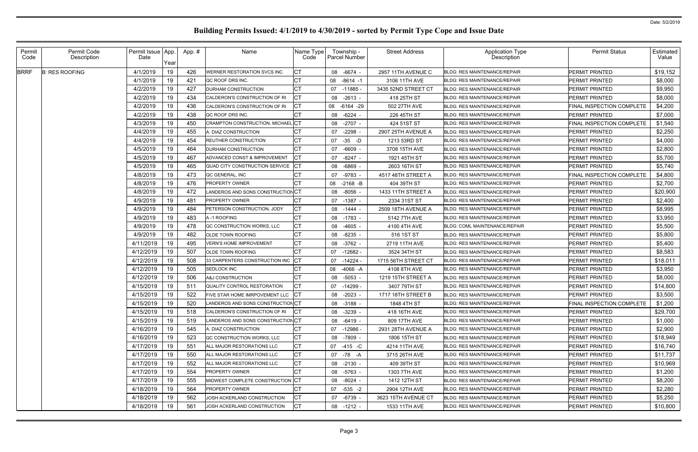| Permit<br>Code | Permit Code<br>Description | Permit Issue   App.<br>Date |            | App. #     | Name                                                         | Name Type!<br>Code | Township -<br><b>Parcel Number</b> | <b>Street Address</b> | <b>Application Type</b><br>Description                                     | <b>Permit Status</b>                    | Estimated<br>Value |
|----------------|----------------------------|-----------------------------|------------|------------|--------------------------------------------------------------|--------------------|------------------------------------|-----------------------|----------------------------------------------------------------------------|-----------------------------------------|--------------------|
| <b>BRRF</b>    | <b>B: RES ROOFING</b>      | 4/1/2019                    | Year<br>19 | 426        | WERNER RESTORATION SVCS INC                                  |                    | 08 -6674 -                         | 2957 11TH AVENUE C    | <b>BLDG: RES MAINTENANCE/REPAIR</b>                                        | PERMIT PRINTED                          | \$19,152           |
|                |                            | 4/1/2019                    | 19         |            |                                                              |                    |                                    |                       |                                                                            | PERMIT PRINTED                          |                    |
|                |                            |                             |            | 421        | QC ROOF DRS INC.                                             |                    | $-8614 - 1$<br>08                  | 3106 11TH AVE         | <b>BLDG: RES MAINTENANCE/REPAIR</b>                                        |                                         | \$8,000            |
|                |                            | 4/2/2019<br>4/2/2019        | 19         | 427<br>434 | <b>DURHAM CONSTRUCTION</b>                                   |                    | 07 -11885                          | 3435 52ND STREET CT   | <b>BLDG: RES MAINTENANCE/REPAIR</b>                                        | PERMIT PRINTED<br><b>PERMIT PRINTED</b> | \$9,950            |
|                |                            | 4/2/2019                    | 19         | 436        | CALDERON'S CONSTRUCTION OF RI                                | СΤ                 | $-2613 -$<br>08                    | 418 25TH ST           | <b>BLDG: RES MAINTENANCE/REPAIR</b>                                        | FINAL INSPECTION COMPLETE               | \$8,000            |
|                |                            |                             | 19         |            | CALDERON'S CONSTRUCTION OF RI                                |                    | 08<br>-6164 -29                    | 502 27TH AVE          | <b>BLDG: RES MAINTENANCE/REPAIR</b><br><b>BLDG: RES MAINTENANCE/REPAIR</b> |                                         | \$4,200            |
|                |                            | 4/2/2019                    | 19         | 438        | QC ROOF DRS INC.<br><b>CRAMPTON CONSTRUCTION, MICHAEL CT</b> |                    | -6224<br>08                        | 226 45TH ST           |                                                                            | PERMIT PRINTED                          | \$7,000            |
|                |                            | 4/3/2019                    | 19         | 450        |                                                              |                    | $-2707 -$<br>08                    | 424 51ST ST           | <b>BLDG: RES MAINTENANCE/REPAIR</b>                                        | FINAL INSPECTION COMPLETE               | \$1,540            |
|                |                            | 4/4/2019                    | 19         | 455        | A. DIAZ CONSTRUCTION                                         |                    | $-2298$<br>07                      | 2907 25TH AVENUE A    | <b>BLDG: RES MAINTENANCE/REPAIR</b>                                        | <b>PERMIT PRINTED</b>                   | \$2,250            |
|                |                            | 4/4/2019                    | 19         | 454        | REUTHER CONSTRUCTION                                         |                    | 07<br>-35 -D                       | 1213 53RD ST          | <b>BLDG: RES MAINTENANCE/REPAIR</b>                                        | PERMIT PRINTED                          | \$4,000            |
|                |                            | 4/5/2019                    | 19         | 464        | <b>DURHAM CONSTRUCTION</b>                                   | CТ                 | -6609<br>07                        | 3708 15TH AVE         | <b>BLDG: RES MAINTENANCE/REPAIR</b>                                        | PERMIT PRINTED                          | \$2,800            |
|                |                            | 4/5/2019                    | 19         | 467        | ADVANCED CONST & IMPROVEMENT                                 |                    | $-8247 -$<br>07                    | 1921 45TH ST          | <b>BLDG: RES MAINTENANCE/REPAIR</b>                                        | PERMIT PRINTED                          | \$5,700            |
|                |                            | 4/5/2019                    | 19         | 465        | QUAD CITY CONSTRUCTION SERVICE                               |                    | 08<br>-6869                        | 2603 16TH ST          | <b>BLDG: RES MAINTENANCE/REPAIR</b>                                        | PERMIT PRINTED                          | \$5,740            |
|                |                            | 4/8/2019                    | 19         | 473        | QC GENERAL, INC                                              |                    | 07<br>$-9783$                      | 4517 48TH STREET A    | <b>BLDG: RES MAINTENANCE/REPAIR</b>                                        | FINAL INSPECTION COMPLETE               | \$4,800            |
|                |                            | 4/8/2019                    | 19         | 476        | <b>PROPERTY OWNER</b>                                        |                    | 08<br>-2168 -B                     | 404 39TH ST           | <b>BLDG: RES MAINTENANCE/REPAIR</b>                                        | <b>PERMIT PRINTED</b>                   | \$2,700            |
|                |                            | 4/8/2019                    | 19         | 472        | LANDEROS AND SONS CONSTRUCTIONCT                             |                    | -8056<br>08                        | 1433 11TH STREET A    | <b>BLDG: RES MAINTENANCE/REPAIR</b>                                        | <b>PERMIT PRINTED</b>                   | \$20,900           |
|                |                            | 4/9/2019                    | 19         | 481        | <b>PROPERTY OWNER</b>                                        |                    | -1387 -<br>07                      | 2334 31ST ST          | <b>BLDG: RES MAINTENANCE/REPAIR</b>                                        | <b>PERMIT PRINTED</b>                   | \$2,400            |
|                |                            | 4/9/2019                    | 19         | 484        | PETERSON CONSTRUCTION, JODY                                  |                    | 08 -1444                           | 2509 18TH AVENUE A    | <b>BLDG: RES MAINTENANCE/REPAIR</b>                                        | PERMIT PRINTED                          | \$8,995            |
|                |                            | 4/9/2019                    | 19         | 483        | A -1 ROOFING                                                 |                    | -1783 -<br>08                      | 5142 7TH AVE          | <b>BLDG: RES MAINTENANCE/REPAIR</b>                                        | <b>PERMIT PRINTED</b>                   | \$3,950            |
|                |                            | 4/9/2019                    | 19         | 478        | QC CONSTRUCTION WORKS, LLC                                   | СT                 | -4605<br>08                        | 4100 4TH AVE          | BLDG: COML MAINTENANCE/REPAIR                                              | PERMIT PRINTED                          | \$5,500            |
|                |                            | 4/9/2019                    | 19         | 482        | <b>OLDE TOWN ROOFING</b>                                     |                    | $-8235$<br>08                      | 516 1ST ST            | <b>BLDG: RES MAINTENANCE/REPAIR</b>                                        | <b>PERMIT PRINTED</b>                   | \$5,800            |
|                |                            | 4/11/2019                   | 19         | 495        | <b>VERN'S HOME IMPROVEMENT</b>                               | СT                 | $-3762 -$<br>08                    | 2719 11TH AVE         | <b>BLDG: RES MAINTENANCE/REPAIR</b>                                        | PERMIT PRINTED                          | \$5,400            |
|                |                            | 4/12/2019                   | 19         | 507        | <b>OLDE TOWN ROOFING</b>                                     |                    | $-12682$<br>07                     | 3524 34TH ST          | <b>BLDG: RES MAINTENANCE/REPAIR</b>                                        | PERMIT PRINTED                          | \$8,583            |
|                |                            | 4/12/2019                   | 19         | 508        | 33 CARPENTERS CONSTRUCTION INC                               |                    | $-14224$<br>07                     | 1715 56TH STREET CT   | <b>BLDG: RES MAINTENANCE/REPAIR</b>                                        | PERMIT PRINTED                          | \$18,011           |
|                |                            | 4/12/2019                   | 19         | 505        | SEDLOCK INC                                                  |                    | 08<br>$-4066 - A$                  | 4108 8TH AVE          | BLDG: RES MAINTENANCE/REPAIR                                               | <b>PERMIT PRINTED</b>                   | \$3,950            |
|                |                            | 4/12/2019                   | 19         | 506        | A&J CONSTRUCTION                                             |                    | -5053 -<br>08                      | 1219 15TH STREET A    | <b>BLDG: RES MAINTENANCE/REPAIR</b>                                        | <b>PERMIT PRINTED</b>                   | \$8,000            |
|                |                            | 4/15/2019                   | 19         | 511        | QUALITY CONTROL RESTORATION                                  |                    | $-14299$<br>07                     | 3407 79TH ST          | <b>BLDG: RES MAINTENANCE/REPAIR</b>                                        | PERMIT PRINTED                          | \$14,800           |
|                |                            | 4/15/2019                   | 19         | 522        | FIVE STAR HOME IMRPOVEMENT LLC                               |                    | 08 -2023 -                         | 1717 18TH STREET B    | <b>BLDG: RES MAINTENANCE/REPAIR</b>                                        | PERMIT PRINTED                          | \$3,500            |
|                |                            | 4/15/2019                   | 19         | 520        | LANDEROS AND SONS CONSTRUCTIONCT                             |                    | 08 -3188 -                         | 1848 4TH ST           | <b>BLDG: RES MAINTENANCE/REPAIR</b>                                        | FINAL INSPECTION COMPLETE               | \$1,200            |
|                |                            | 4/15/2019                   | 19         | 518        | CALDERON'S CONSTRUCTION OF RI                                | IСТ                | 08 -3239 -                         | 418 16TH AVE          | <b>BLDG: RES MAINTENANCE/REPAIR</b>                                        | PERMIT PRINTED                          | \$29,700           |
|                |                            | 4/15/2019                   | 19         | 519        | LANDEROS AND SONS CONSTRUCTIONCT                             |                    | 08 -6419 -                         | 809 17TH AVE          | <b>BLDG: RES MAINTENANCE/REPAIR</b>                                        | PERMIT PRINTED                          | \$1,000            |
|                |                            | 4/16/2019                   | 19         | 545        | A. DIAZ CONSTRUCTION                                         | СT                 | 07 -12986 -                        | 2931 28TH AVENUE A    | <b>BLDG: RES MAINTENANCE/REPAIR</b>                                        | PERMIT PRINTED                          | \$2,900            |
|                |                            | 4/16/2019                   | 19         | 523        | QC CONSTRUCTION WORKS, LLC                                   | <b>CT</b>          | 08 -7809 -                         | 1806 15TH ST          | <b>BLDG: RES MAINTENANCE/REPAIR</b>                                        | PERMIT PRINTED                          | \$18,949           |
|                |                            | 4/17/2019                   | 19         | 551        | ALL MAJOR RESTORATIONS LLC                                   | СΤ                 | 07 -415 -C                         | 4214 11TH AVE         | <b>BLDG: RES MAINTENANCE/REPAIR</b>                                        | PERMIT PRINTED                          | \$16,740           |
|                |                            | 4/17/2019                   | 19         | 550        | ALL MAJOR RESTORATIONS LLC                                   | СT                 | 07 -78 -A                          | 3715 26TH AVE         | <b>BLDG: RES MAINTENANCE/REPAIR</b>                                        | PERMIT PRINTED                          | \$11,737           |
|                |                            | 4/17/2019                   | 19         | 552        | ALL MAJOR RESTORATIONS LLC                                   | СT                 | 08 -2130 -                         | 409 39TH ST           | <b>BLDG: RES MAINTENANCE/REPAIR</b>                                        | PERMIT PRINTED                          | \$10,969           |
|                |                            | 4/17/2019                   | 19         | 554        | <b>PROPERTY OWNER</b>                                        | СT                 | 08 -5763 -                         | 1303 7TH AVE          | <b>BLDG: RES MAINTENANCE/REPAIR</b>                                        | PERMIT PRINTED                          | \$1,200            |
|                |                            | 4/17/2019                   | 19         | 555        | MIDWEST COMPLETE CONSTRUCTION CT                             |                    | 08 -8024 -                         | 1412 12TH ST          | <b>BLDG: RES MAINTENANCE/REPAIR</b>                                        | PERMIT PRINTED                          | \$8,200            |
|                |                            | 4/18/2019                   | 19         | 564        | <b>PROPERTY OWNER</b>                                        |                    | 07 -535 -2                         | 2904 12TH AVE         | <b>BLDG: RES MAINTENANCE/REPAIR</b>                                        | PERMIT PRINTED                          | \$2,280            |
|                |                            | 4/18/2019                   | 19         | 562        | JOSH ACKERLAND CONSTRUCTION                                  | СT                 | 07 -6739 -                         | 3623 15TH AVENUE CT   | <b>BLDG: RES MAINTENANCE/REPAIR</b>                                        | PERMIT PRINTED                          | \$5,250            |
|                |                            | 4/18/2019                   | 19         | 561        | JOSH ACKERLAND CONSTRUCTION                                  | <b>CT</b>          | 08 -1212 -                         | 1533 11TH AVE         | <b>BLDG: RES MAINTENANCE/REPAIR</b>                                        | <b>PERMIT PRINTED</b>                   | \$10,800           |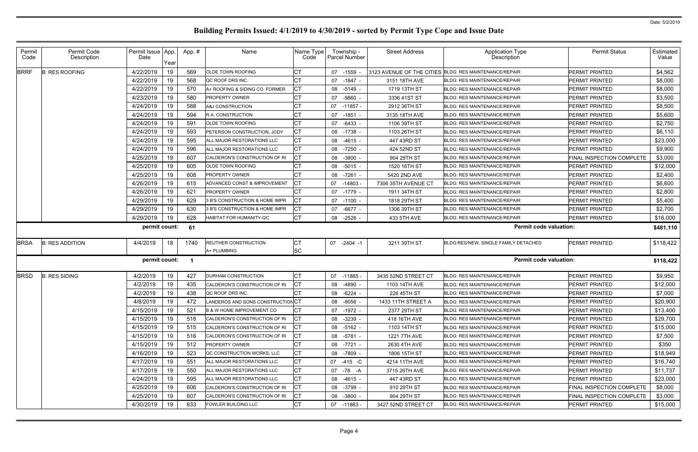| Permit<br>Code | Permit Code<br>Description | Permit Issue App.<br>Date |      | App.# | Name                                 | Name Type<br>Code | Township -<br>Parcel Number | <b>Street Address</b> | <b>Application Type</b><br><b>Description</b>          | <b>Permit Status</b>      | Estimated<br>Value |
|----------------|----------------------------|---------------------------|------|-------|--------------------------------------|-------------------|-----------------------------|-----------------------|--------------------------------------------------------|---------------------------|--------------------|
|                |                            |                           | Year |       |                                      |                   |                             |                       |                                                        |                           |                    |
| <b>BRRF</b>    | <b>B: RES ROOFING</b>      | 4/22/2019                 | 19   | 569   | <b>OLDE TOWN ROOFING</b>             |                   | 07 -1559 -                  |                       | 3123 AVENUE OF THE CITIES BLDG: RES MAINTENANCE/REPAIR | PERMIT PRINTED            | \$4,562            |
|                |                            | 4/22/2019                 | 19   | 568   | QC ROOF DRS INC.                     | СT                | 07 -1847 -                  | 3151 18TH AVE         | <b>BLDG: RES MAINTENANCE/REPAIR</b>                    | PERMIT PRINTED            | \$8,000            |
|                |                            | 4/22/2019                 | 19   | 570   | A+ ROOFING & SIDING CO. FORMER       | СT                | 08 -5149 -                  | 1719 13TH ST          | <b>BLDG: RES MAINTENANCE/REPAIR</b>                    | <b>PERMIT PRINTED</b>     | \$8,000            |
|                |                            | 4/23/2019                 | 19   | 580   | <b>PROPERTY OWNER</b>                | СT                | 07 -9860 -                  | 3336 41ST ST          | <b>BLDG: RES MAINTENANCE/REPAIR</b>                    | PERMIT PRINTED            | \$3,500            |
|                |                            | 4/24/2019                 | 19   | 588   | A&J CONSTRUCTION                     | СT                | $07 - 11857$                | 2912 36TH ST          | <b>BLDG: RES MAINTENANCE/REPAIR</b>                    | <b>PERMIT PRINTED</b>     | \$8,500            |
|                |                            | 4/24/2019                 | 19   | 594   | <b>R.A. CONSTRUCTION</b>             | СT                | 07 -1851 -                  | 3135 18TH AVE         | <b>BLDG: RES MAINTENANCE/REPAIR</b>                    | <b>PERMIT PRINTED</b>     | \$5,600            |
|                |                            | 4/24/2019                 | 19   | 591   | <b>OLDE TOWN ROOFING</b>             | СT                | 07 -6433 -                  | 1106 39TH ST          | <b>BLDG: RES MAINTENANCE/REPAIR</b>                    | <b>PERMIT PRINTED</b>     | \$2,750            |
|                |                            | 4/24/2019                 | 19   | 593   | <b>PETERSON CONSTRUCTION, JODY</b>   | СT                | 08 -1738 -                  | 1103 26TH ST          | <b>BLDG: RES MAINTENANCE/REPAIR</b>                    | PERMIT PRINTED            | \$6,110            |
|                |                            | 4/24/2019                 | 19   | 595   | ALL MAJOR RESTORATIONS LLC           | СT                | 08 -4615 -                  | 447 43RD ST           | <b>BLDG: RES MAINTENANCE/REPAIR</b>                    | PERMIT PRINTED            | \$23,000           |
|                |                            | 4/24/2019                 | 19   | 596   | ALL MAJOR RESTORATIONS LLC           | СT                | 08 -7250 -                  | 424 52ND ST           | <b>BLDG: RES MAINTENANCE/REPAIR</b>                    | PERMIT PRINTED            | \$9,900            |
|                |                            | 4/25/2019                 | 19   | 607   | CALDERON'S CONSTRUCTION OF RI        |                   | 08 -3800 -                  | 904 29TH ST           | <b>BLDG: RES MAINTENANCE/REPAIR</b>                    | FINAL INSPECTION COMPLETE | \$3,000            |
|                |                            | 4/25/2019                 | 19   | 605   | <b>OLDE TOWN ROOFING</b>             | СT                | 08 -5015 -                  | 1520 16TH ST          | <b>BLDG: RES MAINTENANCE/REPAIR</b>                    | PERMIT PRINTED            | \$12,000           |
|                |                            | 4/25/2019                 | 19   | 608   | <b>PROPERTY OWNER</b>                | СT                | 08 -7261 -                  | 5420 2ND AVE          | <b>BLDG: RES MAINTENANCE/REPAIR</b>                    | <b>PERMIT PRINTED</b>     | \$2,400            |
|                |                            | 4/26/2019                 | 19   | 615   | ADVANCED CONST & IMPROVEMENT         | СT                | 07 -14803                   | 7306 35TH AVENUE CT   | <b>BLDG: RES MAINTENANCE/REPAIR</b>                    | PERMIT PRINTED            | \$6,600            |
|                |                            | 4/26/2019                 | 19   | 621   | <b>PROPERTY OWNER</b>                | СT                | 07 -1779 -                  | 1911 34TH ST          | <b>BLDG: RES MAINTENANCE/REPAIR</b>                    | <b>PERMIT PRINTED</b>     | \$2,800            |
|                |                            | 4/29/2019                 | 19   | 629   | 3 B'S CONSTRUCTION & HOME IMPR       |                   | 07 -1100 -                  | 1818 29TH ST          | <b>BLDG: RES MAINTENANCE/REPAIR</b>                    | PERMIT PRINTED            | \$5,400            |
|                |                            | 4/29/2019                 | 19   | 630   | 3 B'S CONSTRUCTION & HOME IMPR       |                   | 07 -6677 -                  | 1306 39TH ST          | <b>BLDG: RES MAINTENANCE/REPAIR</b>                    | PERMIT PRINTED            | \$2,700            |
|                |                            | 4/29/2019                 | 19   | 628   | <b>HABITAT FOR HUMANITY-QC</b>       | СT                | 08 -2526 -                  | 433 5TH AVE           | <b>BLDG: RES MAINTENANCE/REPAIR</b>                    | PERMIT PRINTED            | \$16,000           |
|                |                            | permit count:             |      | 61    |                                      |                   |                             |                       | <b>Permit code valuation:</b>                          |                           | \$481,110          |
| <b>BRSA</b>    | <b>B: RES ADDITION</b>     | 4/4/2019                  | 18   | 1740  | <b>REUTHER CONSTRUCTION</b>          | СT                | 07 -2404 -1                 | 3211 39TH ST          | BLDG:RES/NEW, SINGLE FAMILY DETACHED                   | <b>PERMIT PRINTED</b>     | \$118,422          |
|                |                            |                           |      |       | A+ PLUMBING                          | SC                |                             |                       |                                                        |                           |                    |
|                |                            | permit count:             |      | - 1   |                                      |                   |                             |                       | <b>Permit code valuation:</b>                          |                           | \$118,422          |
| <b>BRSD</b>    | <b>B: RES SIDING</b>       | 4/2/2019                  | 19   | 427   | DURHAM CONSTRUCTION                  | СT                | $07 - 11885$                | 3435 52ND STREET CT   | <b>BLDG: RES MAINTENANCE/REPAIR</b>                    | PERMIT PRINTED            | \$9,950            |
|                |                            | 4/2/2019                  | 19   | 435   | CALDERON'S CONSTRUCTION OF RI        | СT                | 08 -4890 -                  | 1103 14TH AVE         | <b>BLDG: RES MAINTENANCE/REPAIR</b>                    | PERMIT PRINTED            | \$12,000           |
|                |                            | 4/2/2019                  | 19   | 438   | QC ROOF DRS INC.                     | СT                | 08 -6224 -                  | 226 45TH ST           | <b>BLDG: RES MAINTENANCE/REPAIR</b>                    | PERMIT PRINTED            | \$7,000            |
|                |                            | 4/8/2019                  | 19   | 472   | LANDEROS AND SONS CONSTRUCTIONCT     |                   | 08 -8056 -                  | 1433 11TH STREET A    | <b>BLDG: RES MAINTENANCE/REPAIR</b>                    | PERMIT PRINTED            | \$20,900           |
|                |                            | 4/15/2019                 | 19   | 521   | <b>B &amp; W HOME IMPROVEMENT CO</b> | СT                | 07 -1972 -                  | 2377 29TH ST          | <b>BLDG: RES MAINTENANCE/REPAIR</b>                    | PERMIT PRINTED            | \$13,400           |
|                |                            | 4/15/2019                 | 19   | 518   | CALDERON'S CONSTRUCTION OF RI        | СT                | 08 -3239 -                  | 418 16TH AVE          | <b>BLDG: RES MAINTENANCE/REPAIR</b>                    | PERMIT PRINTED            | \$29,700           |
|                |                            | 4/15/2019                 | 19   | 515   | CALDERON'S CONSTRUCTION OF RI        | СT                | 08 -5162 -                  | 1103 14TH ST          | <b>BLDG: RES MAINTENANCE/REPAIR</b>                    | PERMIT PRINTED            | \$15,000           |
|                |                            | 4/15/2019                 | 19   | 516   | CALDERON'S CONSTRUCTION OF RI        |                   | 08 -5781 -                  | <b>1221 7TH AVE</b>   | BLDG: RES MAINTENANCE/REPAIR                           | PERMIT PRINTED            | \$7,500            |
|                |                            | 4/15/2019                 | 19   | 512   | <b>PROPERTY OWNER</b>                | <b>CT</b>         | 08 -7721 -                  | 2630 4TH AVE          | <b>BLDG: RES MAINTENANCE/REPAIR</b>                    | PERMIT PRINTED            | \$350              |
|                |                            | 4/16/2019                 | 19   | 523   | QC CONSTRUCTION WORKS, LLC           | CТ                | 08 -7809 -                  | 1806 15TH ST          | BLDG: RES MAINTENANCE/REPAIR                           | PERMIT PRINTED            | \$18,949           |
|                |                            | 4/17/2019                 | 19   | 551   | ALL MAJOR RESTORATIONS LLC           | <b>CT</b>         | 07 -415 -C                  | 4214 11TH AVE         | <b>BLDG: RES MAINTENANCE/REPAIR</b>                    | PERMIT PRINTED            | \$16,740           |
|                |                            | 4/17/2019                 | 19   | 550   | ALL MAJOR RESTORATIONS LLC           | СT                | 07 -78 -A                   | 3715 26TH AVE         | BLDG: RES MAINTENANCE/REPAIR                           | PERMIT PRINTED            | \$11,737           |
|                |                            | 4/24/2019                 | 19   | 595   | ALL MAJOR RESTORATIONS LLC           | <b>CT</b>         | 08 -4615 -                  | 447 43RD ST           | <b>BLDG: RES MAINTENANCE/REPAIR</b>                    | PERMIT PRINTED            | \$23,000           |
|                |                            | 4/25/2019                 | 19   | 606   | CALDERON'S CONSTRUCTION OF RI        | СT                | 08 -3799 -                  | 910 29TH ST           | BLDG: RES MAINTENANCE/REPAIR                           | FINAL INSPECTION COMPLETE | \$8,000            |
|                |                            | 4/25/2019                 | 19   | 607   | CALDERON'S CONSTRUCTION OF RI        | СT                | 08 -3800 -                  | 904 29TH ST           | <b>BLDG: RES MAINTENANCE/REPAIR</b>                    | FINAL INSPECTION COMPLETE | \$3,000            |
|                |                            | 4/30/2019                 | 19   | 633   | <b>FOWLER BUILDING LLC</b>           | <b>CT</b>         | 07 -11883 -                 | 3427 52ND STREET CT   | BLDG: RES MAINTENANCE/REPAIR                           | <b>PERMIT PRINTED</b>     | \$15,000           |
|                |                            |                           |      |       |                                      |                   |                             |                       |                                                        |                           |                    |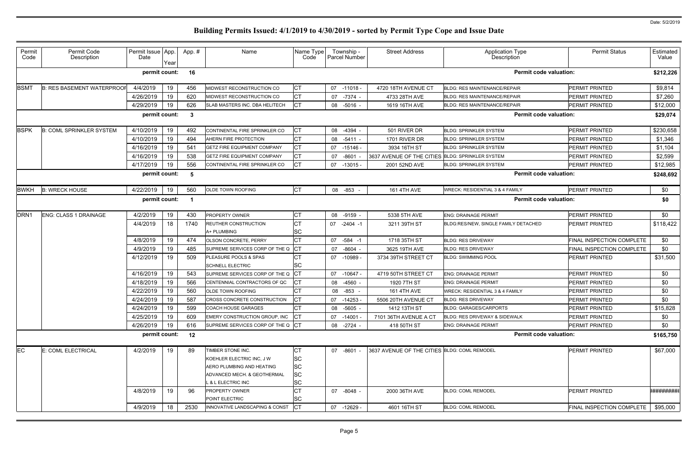| Permit<br>Code   | Permit Code<br>Description       | Permit Issue   App.<br>Date |      | App.# | Name                               | Name Type<br>Code |    | Township -<br><b>Parcel Number</b> | <b>Street Address</b>                            | <b>Application Type</b><br>Description     | <b>Permit Status</b>      | Estimated<br>Value |
|------------------|----------------------------------|-----------------------------|------|-------|------------------------------------|-------------------|----|------------------------------------|--------------------------------------------------|--------------------------------------------|---------------------------|--------------------|
|                  |                                  |                             | Year |       |                                    |                   |    |                                    |                                                  |                                            |                           |                    |
|                  |                                  | permit count:               |      | 16    |                                    |                   |    |                                    |                                                  | <b>Permit code valuation:</b>              |                           | \$212,226          |
| <b>BSMT</b>      | <b>B: RES BASEMENT WATERPROO</b> | 4/4/2019                    | 19   | 456   | MIDWEST RECONSTRUCTION CO          | <b>CT</b>         |    | 07 -11018 -                        | 4720 18TH AVENUE CT                              | <b>BLDG: RES MAINTENANCE/REPAIR</b>        | PERMIT PRINTED            | \$9,814            |
|                  |                                  | 4/26/2019                   | 19   | 620   | MIDWEST RECONSTRUCTION CO          | <b>CT</b>         |    | 07 -7374 -                         | 4733 28TH AVE                                    | <b>BLDG: RES MAINTENANCE/REPAIR</b>        | <b>PERMIT PRINTED</b>     | \$7,260            |
|                  |                                  | 4/29/2019                   | 19   | 626   | SLAB MASTERS INC. DBA HELITECH     | Iст               |    | 08 -5016 -                         | 1619 16TH AVE                                    | <b>BLDG: RES MAINTENANCE/REPAIR</b>        | PERMIT PRINTED            | \$12,000           |
|                  |                                  | permit count:               |      | -3    |                                    |                   |    |                                    |                                                  | <b>Permit code valuation:</b>              |                           | \$29,074           |
| <b>BSPK</b>      | <b>B: COML SPRINKLER SYSTEM</b>  | 4/10/2019                   | 19   | 492   | CONTINENTAL FIRE SPRINKLER CO      | СT                | 08 | -4394                              | 501 RIVER DR                                     | <b>BLDG: SPRINKLER SYSTEM</b>              | <b>PERMIT PRINTED</b>     | \$230,658          |
|                  |                                  | 4/10/2019                   | 19   | 494   | AHERN FIRE PROTECTION              | <b>CT</b>         | 08 | -5411 -                            | 1701 RIVER DR                                    | <b>BLDG: SPRINKLER SYSTEM</b>              | PERMIT PRINTED            | \$1,346            |
|                  |                                  | 4/16/2019                   | 19   | 541   | <b>GETZ FIRE EQUIPMENT COMPANY</b> | IСТ               | 07 | $-15146 -$                         | 3934 16TH ST                                     | <b>BLDG: SPRINKLER SYSTEM</b>              | PERMIT PRINTED            | \$1,104            |
|                  |                                  | 4/16/2019                   | 19   | 538   | <b>GETZ FIRE EQUIPMENT COMPANY</b> | <b>CT</b>         | 07 | $-8601$                            | 3637 AVENUE OF THE CITIES BLDG: SPRINKLER SYSTEM |                                            | PERMIT PRINTED            | \$2,599            |
|                  |                                  | 4/17/2019                   | 19   | 556   | CONTINENTAL FIRE SPRINKLER CO      | СT                | 07 | -13015 -                           | 2001 52ND AVE                                    | <b>BLDG: SPRINKLER SYSTEM</b>              | PERMIT PRINTED            | \$12,985           |
|                  |                                  | permit count:               |      | - 5   |                                    |                   |    |                                    |                                                  | <b>Permit code valuation:</b>              |                           | \$248,692          |
|                  |                                  |                             |      |       |                                    |                   |    |                                    |                                                  |                                            |                           |                    |
| <b>BWKH</b>      | <b>B: WRECK HOUSE</b>            | 4/22/2019                   | 19   | 560   | <b>OLDE TOWN ROOFING</b>           | <b>CT</b>         |    | 08 -853                            | <b>161 4TH AVE</b>                               | <b>WRECK: RESIDENTIAL 3 &amp; 4 FAMILY</b> | PERMIT PRINTED            | \$0                |
|                  |                                  | permit count:               |      |       |                                    |                   |    |                                    |                                                  | <b>Permit code valuation:</b>              |                           | \$0                |
| DRN <sub>1</sub> | <b>ENG: CLASS 1 DRAINAGE</b>     | 4/2/2019                    | 19   | 430   | PROPERTY OWNER                     | СT                |    | 08 -9159 -                         | 5338 5TH AVE                                     | <b>ENG: DRAINAGE PERMIT</b>                | <b>PERMIT PRINTED</b>     | \$0                |
|                  |                                  | 4/4/2019                    | 18   | 1740  | <b>REUTHER CONSTRUCTION</b>        | СT                | 07 | $-2404 -1$                         | 3211 39TH ST                                     | BLDG:RES/NEW, SINGLE FAMILY DETACHED       | PERMIT PRINTED            | \$118,422          |
|                  |                                  |                             |      |       | A+ PLUMBING                        | SC                |    |                                    |                                                  |                                            |                           |                    |
|                  |                                  | 4/8/2019                    | 19   | 474   | <b>OLSON CONCRETE, PERRY</b>       | <b>CT</b>         | 07 | $-584 - 1$                         | 1718 35TH ST                                     | <b>BLDG: RES DRIVEWAY</b>                  | FINAL INSPECTION COMPLETE | \$0                |
|                  |                                  | 4/9/2019                    | 19   | 485   | SUPREME SERVICES CORP OF THE Q     | IСT               | 07 | -8604                              | 3625 19TH AVE                                    | <b>BLDG: RES DRIVEWAY</b>                  | FINAL INSPECTION COMPLETE | \$0                |
|                  |                                  | 4/12/2019                   | 19   | 509   | <b>PLEASURE POOLS &amp; SPAS</b>   |                   |    | 07 -10989 -                        | 3734 39TH STREET CT                              | <b>BLDG: SWIMMING POOL</b>                 | <b>PERMIT PRINTED</b>     | \$31,500           |
|                  |                                  |                             |      |       | <b>SCHNELL ELECTRIC</b>            | SC                |    |                                    |                                                  |                                            |                           |                    |
|                  |                                  | 4/16/2019                   | 19   | 543   | SUPREME SERVICES CORP OF THE Q     | IСT               | 07 | $-10647$                           | 4719 50TH STREET CT                              | <b>ENG: DRAINAGE PERMIT</b>                | <b>PERMIT PRINTED</b>     | \$0                |
|                  |                                  | 4/18/2019                   | 19   | 566   | CENTENNIAL CONTRACTORS OF QC       |                   | 08 | -4560 -                            | 1920 7TH ST                                      | <b>ENG: DRAINAGE PERMIT</b>                | PERMIT PRINTED            | \$0                |
|                  |                                  | 4/22/2019                   | 19   | 560   | OLDE TOWN ROOFING                  | СT                |    | 08 -853                            | <b>161 4TH AVE</b>                               | <b>WRECK: RESIDENTIAL 3 &amp; 4 FAMILY</b> | PERMIT PRINTED            | \$0                |
|                  |                                  | 4/24/2019                   | 19   | 587   | CROSS CONCRETE CONSTRUCTION        |                   |    | 07 -14253 -                        | 5506 20TH AVENUE CT                              | <b>BLDG: RES DRIVEWAY</b>                  | PERMIT PRINTED            | \$0                |
|                  |                                  | 4/24/2019                   | 19   | 599   | <b>COACH HOUSE GARAGES</b>         | <b>CT</b>         | 08 | -5605 -                            | 1412 13TH ST                                     | <b>BLDG: GARAGES/CARPORTS</b>              | PERMIT PRINTED            | \$15,828           |
|                  |                                  | 4/25/2019                   | 19   | 609   | EMERY CONSTRUCTION GROUP, INC      | ICT               |    | 07 -14001 -                        | 7101 36TH AVENUE A CT                            | BLDG: RES DRIVEWAY & SIDEWALK              | PERMIT PRINTED            | \$0                |
|                  |                                  | 4/26/2019                   | 19   | 616   | SUPREME SERVICES CORP OF THE Q CT  |                   |    | 08 -2724 -                         | 418 50TH ST                                      | <b>ENG: DRAINAGE PERMIT</b>                | PERMIT PRINTED            | \$0                |
|                  |                                  | permit count:               |      | 12    |                                    |                   |    |                                    |                                                  | <b>Permit code valuation:</b>              |                           | \$165,750          |
| EC               | E: COML ELECTRICAL               | 4/2/2019                    | 19   | 89    | TIMBER STONE INC.                  | СT                |    | 07 -8601 -                         | 3637 AVENUE OF THE CITIES BLDG: COML REMODEL     |                                            | PERMIT PRINTED            | \$67,000           |
|                  |                                  |                             |      |       | KOEHLER ELECTRIC INC. J W          | SC                |    |                                    |                                                  |                                            |                           |                    |
|                  |                                  |                             |      |       | AERO PLUMBING AND HEATING          | <b>SC</b>         |    |                                    |                                                  |                                            |                           |                    |
|                  |                                  |                             |      |       | ADVANCED MECH. & GEOTHERMAL        | <b>SC</b>         |    |                                    |                                                  |                                            |                           |                    |
|                  |                                  |                             |      |       | L & L ELECTRIC INC                 | <b>SC</b>         |    |                                    |                                                  |                                            |                           |                    |
|                  |                                  | 4/8/2019                    | 19   | 96    | <b>PROPERTY OWNER</b>              | СT                |    | 07 -8048 -                         | 2000 36TH AVE                                    | <b>BLDG: COML REMODEL</b>                  | <b>PERMIT PRINTED</b>     | <b>*#########</b>  |
|                  |                                  |                             |      |       | POINT ELECTRIC                     | SC                |    |                                    |                                                  |                                            |                           |                    |
|                  |                                  | 4/9/2019                    | 18   | 2530  | INNOVATIVE LANDSCAPING & CONST     | $ _{CT}$          |    | 07 -12629 -                        | 4601 16TH ST                                     | <b>BLDG: COML REMODEL</b>                  | FINAL INSPECTION COMPLETE | \$95,000           |
|                  |                                  |                             |      |       |                                    |                   |    |                                    |                                                  |                                            |                           |                    |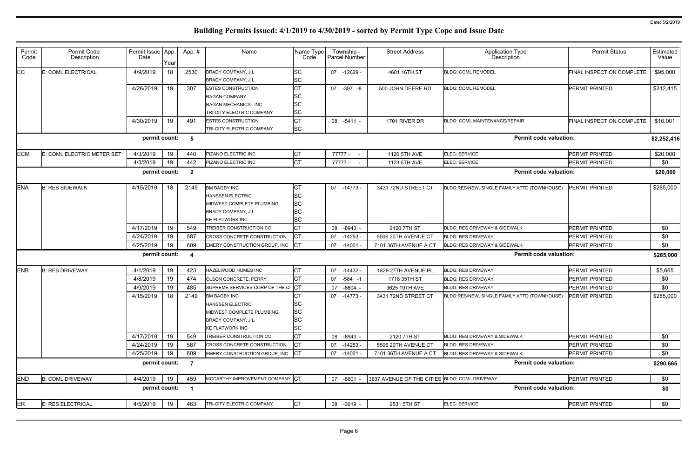| Permit<br>Code | Permit Code<br>Description | Permit Issue App.<br>Date |      | App.#                   | Name                               | Name Type<br>Code | Township -<br>Parcel Number | <b>Street Address</b>                         | Application Type<br>Description              | <b>Permit Status</b>      | Estimated<br>Value |
|----------------|----------------------------|---------------------------|------|-------------------------|------------------------------------|-------------------|-----------------------------|-----------------------------------------------|----------------------------------------------|---------------------------|--------------------|
|                |                            |                           | Year |                         |                                    |                   |                             |                                               |                                              |                           |                    |
| EC             | E: COML ELECTRICAL         | 4/9/2019                  | 18   | 2530                    | BRADY COMPANY, JL                  | <b>SC</b>         | 07 -12629 -                 | 4601 16TH ST                                  | <b>BLDG: COML REMODEL</b>                    | FINAL INSPECTION COMPLETE | \$95,000           |
|                |                            |                           |      |                         | <b>BRADY COMPANY, JL</b>           | SC                |                             |                                               |                                              |                           |                    |
|                |                            | 4/26/2019                 | 19   | 307                     | <b>ESTES CONSTRUCTION</b>          | <b>CT</b>         | 07 -397 -8                  | 500 JOHN DEERE RD                             | <b>BLDG: COML REMODEL</b>                    | <b>PERMIT PRINTED</b>     | \$312,415          |
|                |                            |                           |      |                         | <b>RAGAN COMPANY</b>               | SC                |                             |                                               |                                              |                           |                    |
|                |                            |                           |      |                         | RAGAN MECHANICAL INC.              | SC                |                             |                                               |                                              |                           |                    |
|                |                            |                           |      |                         | TRI-CITY ELECTRIC COMPANY          | <b>SC</b>         |                             |                                               |                                              |                           |                    |
|                |                            | 4/30/2019                 | 19   | 491                     | <b>ESTES CONSTRUCTION</b>          | <b>CT</b>         | 08 -5411 -                  | 1701 RIVER DR                                 | BLDG: COML MAINTENANCE/REPAIR                | FINAL INSPECTION COMPLETE | \$10,001           |
|                |                            |                           |      |                         | TRI-CITY ELECTRIC COMPANY          | <b>SC</b>         |                             |                                               |                                              |                           |                    |
|                |                            | permit count:             |      | 5                       |                                    |                   |                             |                                               | <b>Permit code valuation:</b>                |                           | \$2,252,416        |
| <b>ECM</b>     | E: COML ELECTRIC METER SET | 4/3/2019                  | 19   | 440                     | PIZANO ELECTRIC INC                | СT                | 77777 -                     | 1120 5TH AVE                                  | ELEC: SERVICE                                | PERMIT PRINTED            | \$20,000           |
|                |                            | 4/3/2019                  | 19   | 442                     | PIZANO ELECTRIC INC                | СT                | 77777 -                     | 1123 5TH AVE                                  | ELEC: SERVICE                                | PERMIT PRINTED            | \$0                |
|                |                            | permit count:             |      | $\overline{\mathbf{2}}$ |                                    |                   |                             |                                               | <b>Permit code valuation:</b>                |                           | \$20,000           |
|                |                            |                           |      |                         |                                    |                   |                             |                                               |                                              |                           |                    |
| <b>ENA</b>     | <b>B: RES SIDEWALK</b>     | 4/15/2019                 | 18   | 2149                    | <b>BM BAGBY INC</b>                | СT                | 07 - 14773                  | 3431 72ND STREET CT                           | BLDG:RES/NEW, SINGLE FAMILY ATTD (TOWNHOUSE) | <b>PERMIT PRINTED</b>     | \$285,000          |
|                |                            |                           |      |                         | <b>HANSSEN ELECTRIC</b>            | <b>SC</b>         |                             |                                               |                                              |                           |                    |
|                |                            |                           |      |                         | MIDWEST COMPLETE PLUMBING          | <b>SC</b>         |                             |                                               |                                              |                           |                    |
|                |                            |                           |      |                         | <b>BRADY COMPANY, JL</b>           | SC                |                             |                                               |                                              |                           |                    |
|                |                            |                           |      |                         | <b>KE FLATWORK INC</b>             | <b>SC</b>         |                             |                                               |                                              |                           |                    |
|                |                            | 4/17/2019                 | 19   | 549                     | TREIBER CONSTRUCTION CO            |                   | $-8943 -$<br>08             | 2120 7TH ST                                   | <b>BLDG: RES DRIVEWAY &amp; SIDEWALK</b>     | <b>PERMIT PRINTED</b>     | \$0                |
|                |                            | 4/24/2019                 | 19   | 587                     | CROSS CONCRETE CONSTRUCTION        | <b>ICT</b>        | $-14253$<br>07              | 5506 20TH AVENUE CT                           | <b>BLDG: RES DRIVEWAY</b>                    | <b>PERMIT PRINTED</b>     | \$0                |
|                |                            | 4/25/2019                 | 19   | 609                     | EMERY CONSTRUCTION GROUP, INC      | <b>ICT</b>        | 07 -14001                   | 7101 36TH AVENUE A CT                         | BLDG: RES DRIVEWAY & SIDEWALK                | PERMIT PRINTED            | \$0                |
|                |                            | permit count:             |      | -4                      |                                    |                   |                             |                                               | <b>Permit code valuation:</b>                |                           | \$285,000          |
| <b>ENB</b>     | <b>B: RES DRIVEWAY</b>     | 4/1/2019                  | 19   | 423                     | HAZELWOOD HOMES INC                | <b>CT</b>         | 07 -14432 -                 | 1829 27TH AVENUE PL                           | <b>BLDG: RES DRIVEWAY</b>                    | PERMIT PRINTED            | \$5,665            |
|                |                            | 4/8/2019                  | 19   | 474                     | OLSON CONCRETE, PERRY              | СT                | $-584 - 1$<br>07            | 1718 35TH ST                                  | <b>BLDG: RES DRIVEWAY</b>                    | <b>PERMIT PRINTED</b>     | \$0                |
|                |                            | 4/9/2019                  | 19   | 485                     | SUPREME SERVICES CORP OF THE Q     | СT                | $-8604 -$<br>07             | 3625 19TH AVE                                 | <b>BLDG: RES DRIVEWAY</b>                    | PERMIT PRINTED            | \$0                |
|                |                            | 4/15/2019                 | 18   | 2149                    | <b>BM BAGBY INC</b>                |                   | 07 -14773 -                 | 3431 72ND STREET CT                           | BLDG:RES/NEW, SINGLE FAMILY ATTD (TOWNHOUSE) | <b>PERMIT PRINTED</b>     | \$285,000          |
|                |                            |                           |      |                         | <b>HANSSEN ELECTRIC</b>            | <b>SC</b>         |                             |                                               |                                              |                           |                    |
|                |                            |                           |      |                         | MIDWEST COMPLETE PLUMBING          | <b>SC</b>         |                             |                                               |                                              |                           |                    |
|                |                            |                           |      |                         | BRADY COMPANY, JL                  | SC                |                             |                                               |                                              |                           |                    |
|                |                            |                           |      |                         | <b>KE FLATWORK INC</b>             | SC                |                             |                                               |                                              |                           |                    |
|                |                            | 4/17/2019                 | 19   | 549                     | TREIBER CONSTRUCTION CO            | СT                | 08 -8943 -                  | 2120 7TH ST                                   | BLDG: RES DRIVEWAY & SIDEWALK                | <b>PERMIT PRINTED</b>     | \$0                |
|                |                            | 4/24/2019                 | 19   | 587                     | <b>CROSS CONCRETE CONSTRUCTION</b> | СT                | 07 -14253                   | 5506 20TH AVENUE CT                           | <b>BLDG: RES DRIVEWAY</b>                    | PERMIT PRINTED            | \$0                |
|                |                            | 4/25/2019                 | 19   | 609                     | EMERY CONSTRUCTION GROUP, INC      |                   | 07 -14001                   | 7101 36TH AVENUE A CT                         | <b>BLDG: RES DRIVEWAY &amp; SIDEWALK</b>     | PERMIT PRINTED            | \$0                |
|                |                            | permit count:             |      | $\overline{7}$          |                                    |                   |                             |                                               | <b>Permit code valuation:</b>                |                           | \$290,665          |
| <b>END</b>     | <b>B: COML DRIVEWAY</b>    | 4/4/2019                  | 19   | 459                     | MCCARTHY IMPROVEMENT COMPANY CT    |                   | 07 -8601 -                  | 3637 AVENUE OF THE CITIES BLDG: COML DRIVEWAY |                                              | PERMIT PRINTED            | \$0                |
|                |                            | permit count:             |      | - 1                     |                                    |                   |                             |                                               | <b>Permit code valuation:</b>                |                           | \$0                |
| ER             | E: RES ELECTRICAL          | 4/5/2019                  | 19   | 463                     | TRI-CITY ELECTRIC COMPANY          | <b>CT</b>         | 08 -3019 -                  | 2531 5TH ST                                   | ELEC: SERVICE                                | PERMIT PRINTED            | \$0                |
|                |                            |                           |      |                         |                                    |                   |                             |                                               |                                              |                           |                    |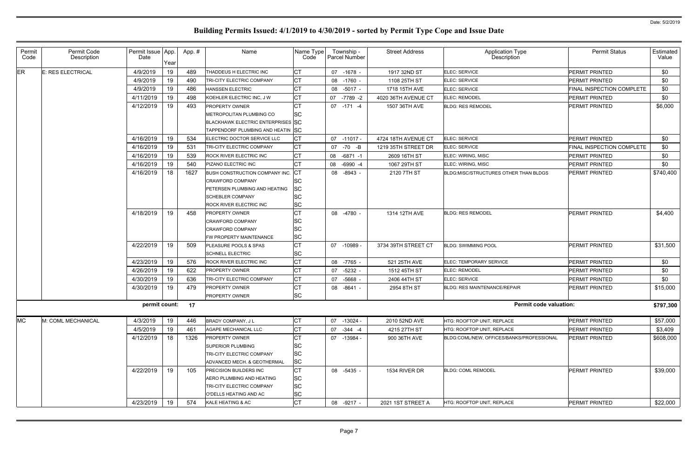| Permit<br>Code | Permit Code<br>Description | Permit Issue App.<br>Date | Year | App.# | Name                                     | Name Type<br>Code |    | Township -<br>Parcel Number | <b>Street Address</b> | <b>Application Type</b><br>Description    | <b>Permit Status</b>             | Estimated<br>Value |
|----------------|----------------------------|---------------------------|------|-------|------------------------------------------|-------------------|----|-----------------------------|-----------------------|-------------------------------------------|----------------------------------|--------------------|
| ER             | <b>E: RES ELECTRICAL</b>   | 4/9/2019                  | 19   | 489   | THADDEUS H ELECTRIC INC                  | CT                |    | 07 -1678 -                  | 1917 32ND ST          | ELEC: SERVICE                             | <b>PERMIT PRINTED</b>            | \$0                |
|                |                            | 4/9/2019                  | 19   | 490   | TRI-CITY ELECTRIC COMPANY                | СT                |    | 08 -1760 -                  | 1108 25TH ST          | ELEC: SERVICE                             | <b>PERMIT PRINTED</b>            | \$0                |
|                |                            | 4/9/2019                  | 19   | 486   | <b>HANSSEN ELECTRIC</b>                  | CT                |    | 08 -5017 -                  | 1718 15TH AVE         | ELEC: SERVICE                             | <b>FINAL INSPECTION COMPLETE</b> | \$0                |
|                |                            | 4/11/2019                 | 19   | 498   | KOEHLER ELECTRIC INC, J W                | СT                |    | 07 -7789 -2                 | 4020 36TH AVENUE CT   | ELEC: REMODEL                             | <b>PERMIT PRINTED</b>            | \$0                |
|                |                            | 4/12/2019                 | 19   | 493   | <b>PROPERTY OWNER</b>                    | CT                |    | 07 -171 -4                  | 1507 36TH AVE         | <b>BLDG: RES REMODEL</b>                  | <b>PERMIT PRINTED</b>            | \$6,000            |
|                |                            |                           |      |       | METROPOLITAN PLUMBING CO                 | SC                |    |                             |                       |                                           |                                  |                    |
|                |                            |                           |      |       | <b>BLACKHAWK ELECTRIC ENTERPRISES SC</b> |                   |    |                             |                       |                                           |                                  |                    |
|                |                            |                           |      |       | TAPPENDORF PLUMBING AND HEATIN SC        |                   |    |                             |                       |                                           |                                  |                    |
|                |                            | 4/16/2019                 | 19   | 534   | ELECTRIC DOCTOR SERVICE LLC              | CТ                |    | 07 -11017 -                 | 4724 18TH AVENUE CT   | ELEC: SERVICE                             | PERMIT PRINTED                   | \$0                |
|                |                            | 4/16/2019                 | 19   | 531   | TRI-CITY ELECTRIC COMPANY                | <b>CT</b>         |    | 07 - 70 - B                 | 1219 35TH STREET DR   | ELEC: SERVICE                             | FINAL INSPECTION COMPLETE        | \$0                |
|                |                            | 4/16/2019                 | 19   | 539   | <b>ROCK RIVER ELECTRIC INC</b>           | СT                |    | 08 -6871 -1                 | 2609 16TH ST          | ELEC: WIRING, MISC                        | <b>PERMIT PRINTED</b>            | \$0                |
|                |                            | 4/16/2019                 | 19   | 540   | PIZANO ELECTRIC INC                      | CT                | 08 | $-6990 -4$                  | 1067 29TH ST          | ELEC: WIRING, MISC                        | <b>PERMIT PRINTED</b>            | \$0                |
|                |                            | 4/16/2019                 | 18   | 1627  | BUSH CONSTRUCTION COMPANY INC. CT        |                   |    | 08 -8943 -                  | 2120 7TH ST           | BLDG:MISC/STRUCTURES OTHER THAN BLDGS     | <b>PERMIT PRINTED</b>            | \$740,400          |
|                |                            |                           |      |       | <b>CRAWFORD COMPANY</b>                  | SC                |    |                             |                       |                                           |                                  |                    |
|                |                            |                           |      |       | PETERSEN PLUMBING AND HEATING            | SC                |    |                             |                       |                                           |                                  |                    |
|                |                            |                           |      |       | <b>SCHEBLER COMPANY</b>                  | SC                |    |                             |                       |                                           |                                  |                    |
|                |                            |                           |      |       | ROCK RIVER ELECTRIC INC                  | <b>SC</b>         |    |                             |                       |                                           |                                  |                    |
|                |                            | 4/18/2019                 | 19   | 458   | <b>PROPERTY OWNER</b>                    | СT                |    | 08 -4780 -                  | 1314 12TH AVE         | <b>BLDG: RES REMODEL</b>                  | <b>PERMIT PRINTED</b>            | \$4,400            |
|                |                            |                           |      |       | <b>CRAWFORD COMPANY</b>                  | SC                |    |                             |                       |                                           |                                  |                    |
|                |                            |                           |      |       | <b>CRAWFORD COMPANY</b>                  | <b>SC</b>         |    |                             |                       |                                           |                                  |                    |
|                |                            |                           |      |       | FW PROPERTY MAINTENANCE                  | <b>SC</b>         |    |                             |                       |                                           |                                  |                    |
|                |                            | 4/22/2019                 | 19   | 509   | <b>PLEASURE POOLS &amp; SPAS</b>         | CТ                |    | 07 -10989 -                 | 3734 39TH STREET CT   | <b>BLDG: SWIMMING POOL</b>                | <b>PERMIT PRINTED</b>            | \$31,500           |
|                |                            |                           |      |       | <b>SCHNELL ELECTRIC</b>                  | <b>SC</b>         |    |                             |                       |                                           |                                  |                    |
|                |                            | 4/23/2019                 | 19   | 576   | ROCK RIVER ELECTRIC INC                  | СT                |    | 08 -7765 -                  | 521 25TH AVE          | ELEC: TEMPORARY SERVICE                   | <b>PERMIT PRINTED</b>            | \$0                |
|                |                            | 4/26/2019                 | 19   | 622   | <b>PROPERTY OWNER</b>                    | CT                | 07 | $-5232 -$                   | 1512 45TH ST          | <b>ELEC: REMODEL</b>                      | <b>PERMIT PRINTED</b>            | \$0                |
|                |                            | 4/30/2019                 | 19   | 636   | TRI-CITY ELECTRIC COMPANY                | CT                |    | 07 -5668 -                  | 2406 44TH ST          | ELEC: SERVICE                             | PERMIT PRINTED                   | \$0                |
|                |                            | 4/30/2019                 | 19   | 479   | <b>PROPERTY OWNER</b>                    | СT                |    | 08 -8641 -                  | 2954 8TH ST           | <b>BLDG: RES MAINTENANCE/REPAIR</b>       | <b>PERMIT PRINTED</b>            | \$15,000           |
|                |                            |                           |      |       | <b>PROPERTY OWNER</b>                    | <b>SC</b>         |    |                             |                       |                                           |                                  |                    |
|                |                            | permit count: 17          |      |       |                                          |                   |    |                             |                       | <b>Permit code valuation:</b>             |                                  | \$797,300          |
| <b>MC</b>      | M: COML MECHANICAL         | 4/3/2019                  | 19   | 446   | <b>BRADY COMPANY, JL</b>                 | СT                |    | 07 -13024 -                 | 2010 52ND AVE         | HTG: ROOFTOP UNIT, REPLACE                | PERMIT PRINTED                   | \$57,000           |
|                |                            | 4/5/2019                  | 19   | 461   | AGAPE MECHANICAL LLC                     | СT                | 07 | $-344 - 4$                  | 4215 27TH ST          | HTG: ROOFTOP UNIT, REPLACE                | PERMIT PRINTED                   | \$3,409            |
|                |                            | 4/12/2019                 | 18   | 1326  | <b>PROPERTY OWNER</b>                    | CТ                |    | 07 -13984 -                 | 900 36TH AVE          | BLDG:COML/NEW, OFFICES/BANKS/PROFESSIONAL | <b>PERMIT PRINTED</b>            | \$608,000          |
|                |                            |                           |      |       | <b>SUPERIOR PLUMBING</b>                 | SC                |    |                             |                       |                                           |                                  |                    |
|                |                            |                           |      |       | TRI-CITY ELECTRIC COMPANY                | <b>SC</b>         |    |                             |                       |                                           |                                  |                    |
|                |                            |                           |      |       | ADVANCED MECH. & GEOTHERMAL              | <b>SC</b>         |    |                             |                       |                                           |                                  |                    |
|                |                            | 4/22/2019                 | 19   | 105   | <b>PRECISION BUILDERS INC</b>            | СT                |    | 08 -5435 -                  | 1534 RIVER DR         | <b>BLDG: COML REMODEL</b>                 | PERMIT PRINTED                   | \$39,000           |
|                |                            |                           |      |       | AERO PLUMBING AND HEATING                | <b>SC</b>         |    |                             |                       |                                           |                                  |                    |
|                |                            |                           |      |       | TRI-CITY ELECTRIC COMPANY                | <b>SC</b>         |    |                             |                       |                                           |                                  |                    |
|                |                            |                           |      |       | O'DELLS HEATING AND AC                   | SC                |    |                             |                       |                                           |                                  |                    |
|                |                            | 4/23/2019                 | 19   | 574   | KALE HEATING & AC                        | СT                |    | 08 -9217 -                  | 2021 1ST STREET A     | HTG: ROOFTOP UNIT, REPLACE                | <b>PERMIT PRINTED</b>            | \$22,000           |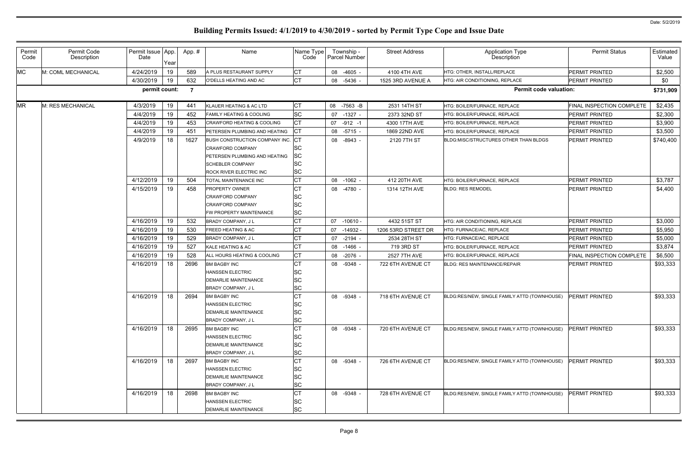| Permit<br>Code | Permit Code<br>Description | Permit Issue App.<br>Date | Year | App. #         | Name                                                                                                                  | Name Type<br>Code                  |    | Township -<br>Parcel Number | <b>Street Address</b> | <b>Application Type</b><br>Description       | <b>Permit Status</b>             | Estimated<br>Value |
|----------------|----------------------------|---------------------------|------|----------------|-----------------------------------------------------------------------------------------------------------------------|------------------------------------|----|-----------------------------|-----------------------|----------------------------------------------|----------------------------------|--------------------|
| <b>MC</b>      | M: COML MECHANICAL         | 4/24/2019                 | 19   | 589            | A PLUS RESTAURANT SUPPLY                                                                                              | <b>CT</b>                          |    | 08 -4605 -                  | 4100 4TH AVE          | HTG: OTHER, INSTALL/REPLACE                  | <b>PERMIT PRINTED</b>            | \$2,500            |
|                |                            | 4/30/2019                 | 19   | 632            | O'DELLS HEATING AND AC                                                                                                | <b>CT</b>                          |    | 08 -5436 -                  | 1525 3RD AVENUE A     | HTG: AIR CONDITIONING, REPLACE               | <b>PERMIT PRINTED</b>            | \$0                |
|                |                            | permit count:             |      | $\overline{7}$ |                                                                                                                       |                                    |    |                             |                       | <b>Permit code valuation:</b>                |                                  | \$731,909          |
| <b>MR</b>      | M: RES MECHANICAL          | 4/3/2019                  | 19   | 441            | KLAUER HEATING & AC LTD                                                                                               | <b>CT</b>                          | 08 | $-7563 - B$                 | 2531 14TH ST          | HTG: BOILER/FURNACE, REPLACE                 | <b>FINAL INSPECTION COMPLETE</b> | \$2,435            |
|                |                            | 4/4/2019                  | 19   | 452            | <b>FAMILY HEATING &amp; COOLING</b>                                                                                   | <b>SC</b>                          | 07 | $-1327 -$                   | 2373 32ND ST          | HTG: BOILER/FURNACE, REPLACE                 | <b>PERMIT PRINTED</b>            | \$2,300            |
|                |                            | 4/4/2019                  | 19   | 453            | <b>CRAWFORD HEATING &amp; COOLING</b>                                                                                 | <b>CT</b>                          | 07 | $-912 - 1$                  | 4300 17TH AVE         | HTG: BOILER/FURNACE, REPLACE                 | <b>PERMIT PRINTED</b>            | \$3,900            |
|                |                            | 4/4/2019                  | 19   | 451            | PETERSEN PLUMBING AND HEATING                                                                                         | <b>CT</b>                          |    | 08 -5715 -                  | 1869 22ND AVE         | HTG: BOILER/FURNACE, REPLACE                 | <b>PERMIT PRINTED</b>            | \$3,500            |
|                |                            | 4/9/2019                  | 18   | 1627           | BUSH CONSTRUCTION COMPANY INC.<br><b>CRAWFORD COMPANY</b><br>PETERSEN PLUMBING AND HEATING<br><b>SCHEBLER COMPANY</b> | СT<br><b>SC</b><br>SC<br><b>SC</b> | 08 | $-8943 -$                   | 2120 7TH ST           | BLDG:MISC/STRUCTURES OTHER THAN BLDGS        | <b>PERMIT PRINTED</b>            | \$740,400          |
|                |                            |                           |      |                | ROCK RIVER ELECTRIC INC                                                                                               | SC                                 |    |                             |                       |                                              |                                  |                    |
|                |                            | 4/12/2019                 | 19   | 504            | TOTAL MAINTENANCE INC                                                                                                 | <b>CT</b>                          |    | 08 -1062 -                  | 412 20TH AVE          | HTG: BOILER/FURNACE, REPLACE                 | <b>PERMIT PRINTED</b>            | \$3,787            |
|                |                            | 4/15/2019                 | 19   | 458            | <b>PROPERTY OWNER</b>                                                                                                 | СT                                 |    | 08 -4780 -                  | 1314 12TH AVE         | <b>BLDG: RES REMODEL</b>                     | <b>PERMIT PRINTED</b>            | \$4,400            |
|                |                            |                           |      |                | <b>CRAWFORD COMPANY</b><br><b>CRAWFORD COMPANY</b><br>FW PROPERTY MAINTENANCE                                         | SC<br><b>SC</b><br><b>SC</b>       |    |                             |                       |                                              |                                  |                    |
|                |                            | 4/16/2019                 | 19   | 532            | BRADY COMPANY, J L                                                                                                    | СT                                 | 07 | $-10610 -$                  | 4432 51ST ST          | HTG: AIR CONDITIONING, REPLACE               | <b>PERMIT PRINTED</b>            | \$3,000            |
|                |                            | 4/16/2019                 | 19   | 530            | FREED HEATING & AC                                                                                                    | СT                                 | 07 | $-14932$                    | 1206 53RD STREET DR   | HTG: FURNACE/AC, REPLACE                     | <b>PERMIT PRINTED</b>            | \$5,950            |
|                |                            | 4/16/2019                 | 19   | 529            | BRADY COMPANY, J L                                                                                                    | СT                                 | 07 | $-2194 -$                   | 2534 28TH ST          | HTG: FURNACE/AC, REPLACE                     | <b>PERMIT PRINTED</b>            | \$5,000            |
|                |                            | 4/16/2019                 | 19   | 527            | KALE HEATING & AC                                                                                                     | СT                                 | 08 | $-1466$ -                   | 719 3RD ST            | HTG: BOILER/FURNACE, REPLACE                 | <b>PERMIT PRINTED</b>            | \$3,874            |
|                |                            | 4/16/2019                 | 19   | 528            | ALL HOURS HEATING & COOLING                                                                                           | <b>CT</b>                          | 08 | $-2076 -$                   | 2527 7TH AVE          | HTG: BOILER/FURNACE, REPLACE                 | <b>FINAL INSPECTION COMPLETE</b> | \$6,500            |
|                |                            | 4/16/2019                 | 18   | 2696           | <b>BM BAGBY INC</b><br><b>HANSSEN ELECTRIC</b><br><b>DEMARLIE MAINTENANCE</b><br>BRADY COMPANY, J L                   | СT<br>SC<br><b>SC</b><br>SC        |    | 08 -9348 -                  | 722 6TH AVENUE CT     | BLDG: RES MAINTENANCE/REPAIR                 | <b>PERMIT PRINTED</b>            | \$93,333           |
|                |                            | 4/16/2019                 | 18   | 2694           | <b>BM BAGBY INC</b><br><b>HANSSEN ELECTRIC</b><br><b>DEMARLIE MAINTENANCE</b><br>BRADY COMPANY, J L                   | <b>CT</b><br><b>SC</b><br>SC<br>SC |    | 08 -9348 -                  | 718 6TH AVENUE CT     | BLDG:RES/NEW, SINGLE FAMILY ATTD (TOWNHOUSE) | <b>PERMIT PRINTED</b>            | \$93,333           |
|                |                            | 4/16/2019                 | 18   | 2695           | <b>BM BAGBY INC</b><br><b>HANSSEN ELECTRIC</b><br><b>DEMARLIE MAINTENANCE</b><br>BRADY COMPANY, J L                   | <b>CT</b><br>SC<br>SC<br>SC        |    | 08 -9348 -                  | 720 6TH AVENUE CT     | BLDG:RES/NEW, SINGLE FAMILY ATTD (TOWNHOUSE) | <b>PERMIT PRINTED</b>            | \$93,333           |
|                |                            | 4/16/2019                 | 18   | 2697           | <b>BM BAGBY INC</b><br><b>HANSSEN ELECTRIC</b><br><b>DEMARLIE MAINTENANCE</b><br><b>BRADY COMPANY, JL</b>             | <b>CT</b><br>SC<br>SC<br>SC        |    | 08 -9348 -                  | 726 6TH AVENUE CT     | BLDG:RES/NEW, SINGLE FAMILY ATTD (TOWNHOUSE) | <b>PERMIT PRINTED</b>            | \$93,333           |
|                |                            | 4/16/2019                 | 18   | 2698           | <b>BM BAGBY INC</b><br><b>HANSSEN ELECTRIC</b><br><b>DEMARLIE MAINTENANCE</b>                                         | <b>CT</b><br>SC<br><b>SC</b>       |    | 08 -9348 -                  | 728 6TH AVENUE CT     | BLDG:RES/NEW, SINGLE FAMILY ATTD (TOWNHOUSE) | <b>PERMIT PRINTED</b>            | \$93,333           |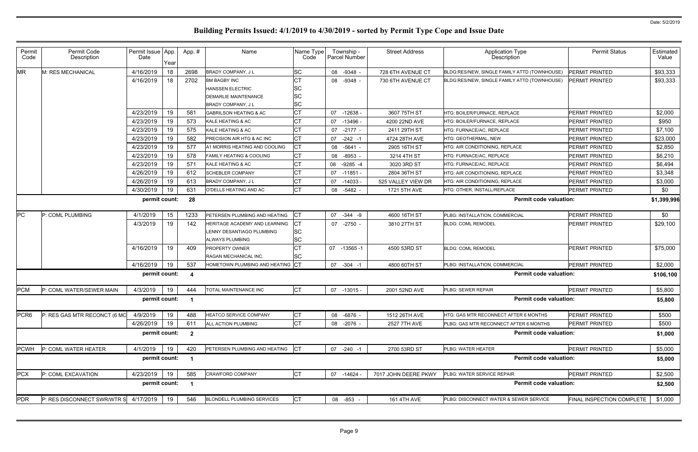| Permit<br>Code   | Permit Code<br>Description   | Permit Issue App.<br>Date | Year | App.#                   | Name                                | Name Type<br>Code | Township -<br>Parcel Number | <b>Street Address</b> | <b>Application Type</b><br>Description       | <b>Permit Status</b>      | Estimated<br>Value |
|------------------|------------------------------|---------------------------|------|-------------------------|-------------------------------------|-------------------|-----------------------------|-----------------------|----------------------------------------------|---------------------------|--------------------|
| <b>MR</b>        | M: RES MECHANICAL            | 4/16/2019                 | 18   | 2698                    | BRADY COMPANY, J L                  | SC                | $-9348 -$<br>08             | 728 6TH AVENUE CT     | BLDG:RES/NEW, SINGLE FAMILY ATTD (TOWNHOUSE) | PERMIT PRINTED            | \$93,333           |
|                  |                              | 4/16/2019                 | 18   | 2702                    | <b>BM BAGBY INC</b>                 | СT                | 08 -9348 -                  | 730 6TH AVENUE CT     | BLDG:RES/NEW, SINGLE FAMILY ATTD (TOWNHOUSE) | PERMIT PRINTED            | \$93,333           |
|                  |                              |                           |      |                         | <b>HANSSEN ELECTRIC</b>             | SC                |                             |                       |                                              |                           |                    |
|                  |                              |                           |      |                         | <b>DEMARLIE MAINTENANCE</b>         | SC                |                             |                       |                                              |                           |                    |
|                  |                              |                           |      |                         | BRADY COMPANY, J L                  | SC                |                             |                       |                                              |                           |                    |
|                  |                              | 4/23/2019                 | 19   | 581                     | <b>GABRILSON HEATING &amp; AC</b>   | СT                | 07<br>$-12638 -$            | 3607 75TH ST          | HTG: BOILER/FURNACE, REPLACE                 | PERMIT PRINTED            | \$2,000            |
|                  |                              | 4/23/2019                 | 19   | 573                     | KALE HEATING & AC                   | СT                | $-13496$<br>07              | 4200 22ND AVE         | HTG: BOILER/FURNACE, REPLACE                 | PERMIT PRINTED            | \$950              |
|                  |                              | 4/23/2019                 | 19   | 575                     | KALE HEATING & AC                   |                   | 07<br>$-2177 -$             | 2411 29TH ST          | HTG: FURNACE/AC, REPLACE                     | PERMIT PRINTED            | \$7,100            |
|                  |                              | 4/23/2019                 | 19   | 582                     | PRECISION AIR HTG & AC INC          | СT                | $-242 - 1$<br>07            | 4724 28TH AVE         | HTG: GEOTHERMAL, NEW                         | PERMIT PRINTED            | \$23,000           |
|                  |                              | 4/23/2019                 | 19   | 577                     | A1 MORRIS HEATING AND COOLING       | СT                | $-5641 -$<br>08             | 2905 16TH ST          | HTG: AIR CONDITIONING, REPLACE               | PERMIT PRINTED            | \$2,850            |
|                  |                              | 4/23/2019                 | 19   | 578                     | <b>FAMILY HEATING &amp; COOLING</b> | СT                | $-8953 -$<br>08             | 3214 4TH ST           | HTG: FURNACE/AC, REPLACE                     | PERMIT PRINTED            | \$6,210            |
|                  |                              | 4/23/2019                 | 19   | 571                     | KALE HEATING & AC                   |                   | $-9285 -4$<br>08            | 3020 3RD ST           | HTG: FURNACE/AC, REPLACE                     | PERMIT PRINTED            | \$6,494            |
|                  |                              | 4/26/2019                 | 19   | 612                     | <b>SCHEBLER COMPANY</b>             |                   | 07<br>$-11851$              | 2804 36TH ST          | HTG: AIR CONDITIONING, REPLACE               | PERMIT PRINTED            | \$3,348            |
|                  |                              | 4/26/2019                 | 19   | 613                     | BRADY COMPANY, J L                  |                   | $-14033$<br>07              | 525 VALLEY VIEW DR    | <b>HTG: AIR CONDITIONING, REPLACE</b>        | PERMIT PRINTED            | \$3,000            |
|                  |                              | 4/30/2019                 | 19   | 631                     | O'DELLS HEATING AND AC              | СT                | $-5482 -$<br>08             | 1721 5TH AVE          | HTG: OTHER, INSTALL/REPLACE                  | PERMIT PRINTED            | \$0                |
|                  |                              | permit count:             |      | 28                      |                                     |                   |                             |                       | <b>Permit code valuation:</b>                |                           | \$1,399,996        |
| PC               | P: COML PLUMBING             | 4/1/2019                  | 15   | 1233                    | PETERSEN PLUMBING AND HEATING       | Iст               | 07<br>$-344 - 9$            | 4600 16TH ST          | PLBG: INSTALLATION, COMMERCIAL               | <b>PERMIT PRINTED</b>     | \$0                |
|                  |                              | 4/3/2019                  | 19   | 142                     | HERITAGE ACADEMY AND LEARNING       | СT                | 07 -2750 -                  | 3810 27TH ST          | <b>BLDG: COML REMODEL</b>                    | <b>PERMIT PRINTED</b>     | \$29,100           |
|                  |                              |                           |      |                         | LENNY DESANTIAGO PLUMBING           | <b>SC</b>         |                             |                       |                                              |                           |                    |
|                  |                              |                           |      |                         | ALWAYS PLUMBING                     | SC                |                             |                       |                                              |                           |                    |
|                  |                              | 4/16/2019                 | 19   | 409                     | <b>PROPERTY OWNER</b>               | СT                | 07<br>$-13565 - 1$          | 4500 53RD ST          | <b>BLDG: COML REMODEL</b>                    | <b>PERMIT PRINTED</b>     | \$75,000           |
|                  |                              |                           |      |                         | RAGAN MECHANICAL INC.               | SC                |                             |                       |                                              |                           |                    |
|                  |                              | 4/16/2019                 | 19   | 537                     | HOMETOWN PLUMBING AND HEATING CT    |                   | 07 -304 -1                  | 4800 60TH ST          | PLBG: INSTALLATION, COMMERCIAL               | <b>PERMIT PRINTED</b>     | \$2,000            |
|                  |                              | permit count:             |      | - 4                     |                                     |                   |                             |                       | <b>Permit code valuation:</b>                |                           | \$106,100          |
| <b>PCM</b>       | P: COML WATER/SEWER MAIN     | 4/3/2019                  | 19   | 444                     | TOTAL MAINTENANCE INC               | Iст               | 07 -13015 -                 | 2001 52ND AVE         | PLBG: SEWER REPAIR                           | PERMIT PRINTED            | \$5,800            |
|                  |                              | permit count:             |      | $\overline{1}$          |                                     |                   |                             |                       | <b>Permit code valuation:</b>                |                           | \$5,800            |
| PCR <sub>6</sub> | P: RES GAS MTR RECONCT (6 MO | 4/9/2019                  | 19   | 488                     | HEATCO SERVICE COMPANY              | СT                | 08 -6876 -                  | 1512 26TH AVE         | HTG: GAS MTR RECONNECT AFTER 6 MONTHS        | PERMIT PRINTED            | \$500              |
|                  |                              | 4/26/2019                 | 19   | 611                     | ALL ACTION PLUMBING                 | СT                | 08 -2076 -                  | 2527 7TH AVE          | PLBG: GAS MTR RECONNECT AFTER 6 MONTHS       | PERMIT PRINTED            | \$500              |
|                  |                              | permit count:             |      | $\overline{\mathbf{2}}$ |                                     |                   |                             |                       | <b>Permit code valuation:</b>                |                           | \$1,000            |
| <b>PCWH</b>      | P: COML WATER HEATER         | 4/1/2019                  | 19   | 420                     | PETERSEN PLUMBING AND HEATING       | <b>CT</b>         | 07 -240 -1                  | 2700 53RD ST          | PLBG: WATER HEATER                           | <b>PERMIT PRINTED</b>     | \$5,000            |
|                  |                              | permit count:             |      |                         |                                     |                   |                             |                       | <b>Permit code valuation:</b>                |                           | \$5,000            |
| <b>PCX</b>       | P: COML EXCAVATION           | 4/23/2019                 | 19   | 585                     | <b>CRAWFORD COMPANY</b>             | <b>CT</b>         | 07 -14624 -                 | 7017 JOHN DEERE PKWY  | PLBG: WATER SERVICE REPAIR                   | PERMIT PRINTED            | \$2,500            |
|                  |                              | permit count:             |      | $\overline{\mathbf{1}}$ |                                     |                   |                             |                       | <b>Permit code valuation:</b>                |                           | \$2,500            |
| <b>PDR</b>       | P: RES DISCONNECT SWR/WTR S  | 4/17/2019                 | 19   | 546                     | <b>BLONDELL PLUMBING SERVICES</b>   | <b>CT</b>         | 08 -853                     | <b>161 4TH AVE</b>    | PLBG: DISCONNECT WATER & SEWER SERVICE       | FINAL INSPECTION COMPLETE | \$1,000            |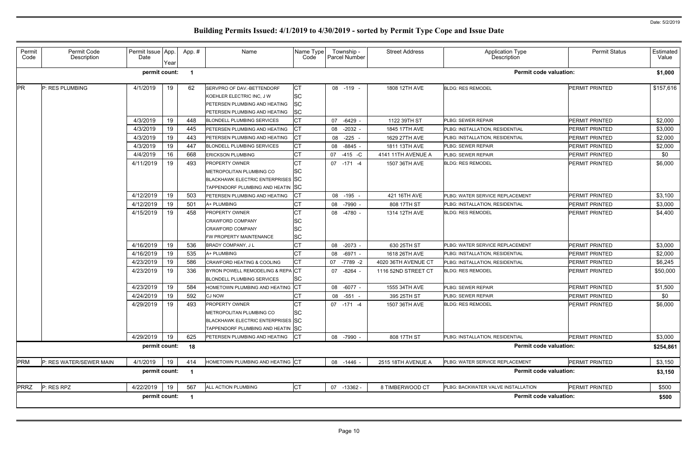| Permit<br>Code | Permit Code<br>Description | Permit Issue App.<br>Date | Year | App.#                   | Name                                                                                                                               | Name Type<br>Code           | Township -<br>Parcel Number | <b>Street Address</b> | <b>Application Type</b><br>Description | <b>Permit Status</b>  | Estimated<br>Value |
|----------------|----------------------------|---------------------------|------|-------------------------|------------------------------------------------------------------------------------------------------------------------------------|-----------------------------|-----------------------------|-----------------------|----------------------------------------|-----------------------|--------------------|
|                |                            | permit count:             |      |                         |                                                                                                                                    |                             |                             |                       | <b>Permit code valuation:</b>          |                       | \$1,000            |
| <b>PR</b>      | P: RES PLUMBING            | 4/1/2019                  | 19   | 62                      | SERVPRO OF DAV.-BETTENDORF<br>KOEHLER ELECTRIC INC, J W<br>PETERSEN PLUMBING AND HEATING<br>PETERSEN PLUMBING AND HEATING          | СT<br>SC<br>SС<br><b>SC</b> | 08 -119 -                   | 1808 12TH AVE         | <b>BLDG: RES REMODEL</b>               | <b>PERMIT PRINTED</b> | \$157,616          |
|                |                            | 4/3/2019                  | 19   | 448                     | <b>BLONDELL PLUMBING SERVICES</b>                                                                                                  |                             | -6429 -<br>07               | 1122 39TH ST          | PLBG: SEWER REPAIR                     | <b>PERMIT PRINTED</b> | \$2,000            |
|                |                            | 4/3/2019                  | 19   | 445                     | PETERSEN PLUMBING AND HEATING                                                                                                      | CТ                          | $-2032 -$<br>08             | 1845 17TH AVE         | PLBG: INSTALLATION, RESIDENTIAL        | <b>PERMIT PRINTED</b> | \$3,000            |
|                |                            | 4/3/2019                  | 19   | 443                     | PETERSEN PLUMBING AND HEATING                                                                                                      | CТ                          | 08 -225 -                   | 1629 27TH AVE         | PLBG: INSTALLATION, RESIDENTIAL        | <b>PERMIT PRINTED</b> | \$2,000            |
|                |                            | 4/3/2019                  | 19   | 447                     | <b>BLONDELL PLUMBING SERVICES</b>                                                                                                  | СT                          | -8845<br>08                 | 1811 13TH AVE         | PLBG: SEWER REPAIR                     | <b>PERMIT PRINTED</b> | \$2,000            |
|                |                            | 4/4/2019                  | 16   | 668                     | <b>ERICKSON PLUMBING</b>                                                                                                           |                             | $-415 - C$<br>07            | 4141 11TH AVENUE A    | PLBG: SEWER REPAIR                     | <b>PERMIT PRINTED</b> | \$0                |
|                |                            | 4/11/2019                 | 19   | 493                     | <b>PROPERTY OWNER</b><br>METROPOLITAN PLUMBING CO<br><b>BLACKHAWK ELECTRIC ENTERPRISES SC</b><br>TAPPENDORF PLUMBING AND HEATIN SC | <b>CT</b><br>SC             | 07 -171 -4                  | 1507 36TH AVE         | <b>BLDG: RES REMODEL</b>               | <b>PERMIT PRINTED</b> | \$6,000            |
|                |                            | 4/12/2019                 | 19   | 503                     | PETERSEN PLUMBING AND HEATING                                                                                                      |                             | 08 -195                     | 421 16TH AVE          | PLBG: WATER SERVICE REPLACEMENT        | <b>PERMIT PRINTED</b> | \$3,100            |
|                |                            | 4/12/2019                 | 19   | 501                     | A+ PLUMBING                                                                                                                        | СT                          | 08 -7990 -                  | 808 17TH ST           | PLBG: INSTALLATION, RESIDENTIAL        | <b>PERMIT PRINTED</b> | \$3,000            |
|                |                            | 4/15/2019                 | 19   | 458                     | <b>PROPERTY OWNER</b><br><b>CRAWFORD COMPANY</b><br><b>CRAWFORD COMPANY</b><br>FW PROPERTY MAINTENANCE                             | СT<br>SC<br><b>SC</b><br>SC | 08 -4780 -                  | 1314 12TH AVE         | <b>BLDG: RES REMODEL</b>               | <b>PERMIT PRINTED</b> | \$4,400            |
|                |                            | 4/16/2019                 | 19   | 536                     | BRADY COMPANY, J L                                                                                                                 | СT                          | 08 -2073 -                  | 630 25TH ST           | PLBG: WATER SERVICE REPLACEMENT        | <b>PERMIT PRINTED</b> | \$3,000            |
|                |                            | 4/16/2019                 | 19   | 535                     | A+ PLUMBING                                                                                                                        | СT                          | 08 -6971 -                  | 1618 26TH AVE         | PLBG: INSTALLATION, RESIDENTIAL        | <b>PERMIT PRINTED</b> | \$2,000            |
|                |                            | 4/23/2019                 | 19   | 586                     | CRAWFORD HEATING & COOLING                                                                                                         | СT                          | -7789 -2<br>07              | 4020 36TH AVENUE CT   | PLBG: INSTALLATION, RESIDENTIAL        | <b>PERMIT PRINTED</b> | \$6,245            |
|                |                            | 4/23/2019                 | 19   | 336                     | BYRON POWELL REMODELING & REPA CT<br><b>BLONDELL PLUMBING SERVICES</b>                                                             | <b>SC</b>                   | 07 -8264 -                  | 1116 52ND STREET CT   | <b>BLDG: RES REMODEL</b>               | PERMIT PRINTED        | \$50,000           |
|                |                            | 4/23/2019                 | 19   | 584                     | HOMETOWN PLUMBING AND HEATING CT                                                                                                   |                             | 08 -6077 -                  | 1555 34TH AVE         | PLBG: SEWER REPAIR                     | <b>PERMIT PRINTED</b> | \$1,500            |
|                |                            | 4/24/2019                 | 19   | 592                     | <b>CJ NOW</b>                                                                                                                      | СT                          | 08 -551 -                   | 395 25TH ST           | PLBG: SEWER REPAIR                     | <b>PERMIT PRINTED</b> | \$0                |
|                |                            | 4/29/2019                 | 19   | 493                     | <b>PROPERTY OWNER</b><br>METROPOLITAN PLUMBING CO<br>BLACKHAWK ELECTRIC ENTERPRISES SC<br>TAPPENDORF PLUMBING AND HEATIN SC        | IСT<br>SC                   | 07 -171 -4                  | 1507 36TH AVE         | <b>BLDG: RES REMODEL</b>               | <b>PERMIT PRINTED</b> | \$6,000            |
|                |                            | 4/29/2019                 | 19   | 625                     | PETERSEN PLUMBING AND HEATING                                                                                                      | <b>ICT</b>                  | 08 -7990 -                  | 808 17TH ST           | PLBG: INSTALLATION, RESIDENTIAL        | <b>PERMIT PRINTED</b> | \$3,000            |
|                |                            | permit count:             |      | 18                      |                                                                                                                                    |                             |                             |                       | <b>Permit code valuation:</b>          |                       | \$254,861          |
| <b>PRM</b>     | P: RES WATER/SEWER MAIN    | 4/1/2019                  | 19   | 414                     | HOMETOWN PLUMBING AND HEATING CT                                                                                                   |                             | 08 -1446 -                  | 2515 18TH AVENUE A    | PLBG: WATER SERVICE REPLACEMENT        | PERMIT PRINTED        | \$3,150            |
|                |                            | permit count:             |      | $\overline{\mathbf{1}}$ |                                                                                                                                    |                             |                             |                       | <b>Permit code valuation:</b>          |                       | \$3,150            |
| <b>PRRZ</b>    | P: RES RPZ                 | 4/22/2019                 | 19   | 567                     | ALL ACTION PLUMBING                                                                                                                | <b>CT</b>                   | 07 -13362 -                 | 8 TIMBERWOOD CT       | PLBG: BACKWATER VALVE INSTALLATION     | PERMIT PRINTED        | \$500              |
|                |                            | permit count:             |      | $\blacksquare$          |                                                                                                                                    |                             |                             |                       | <b>Permit code valuation:</b>          |                       | \$500              |